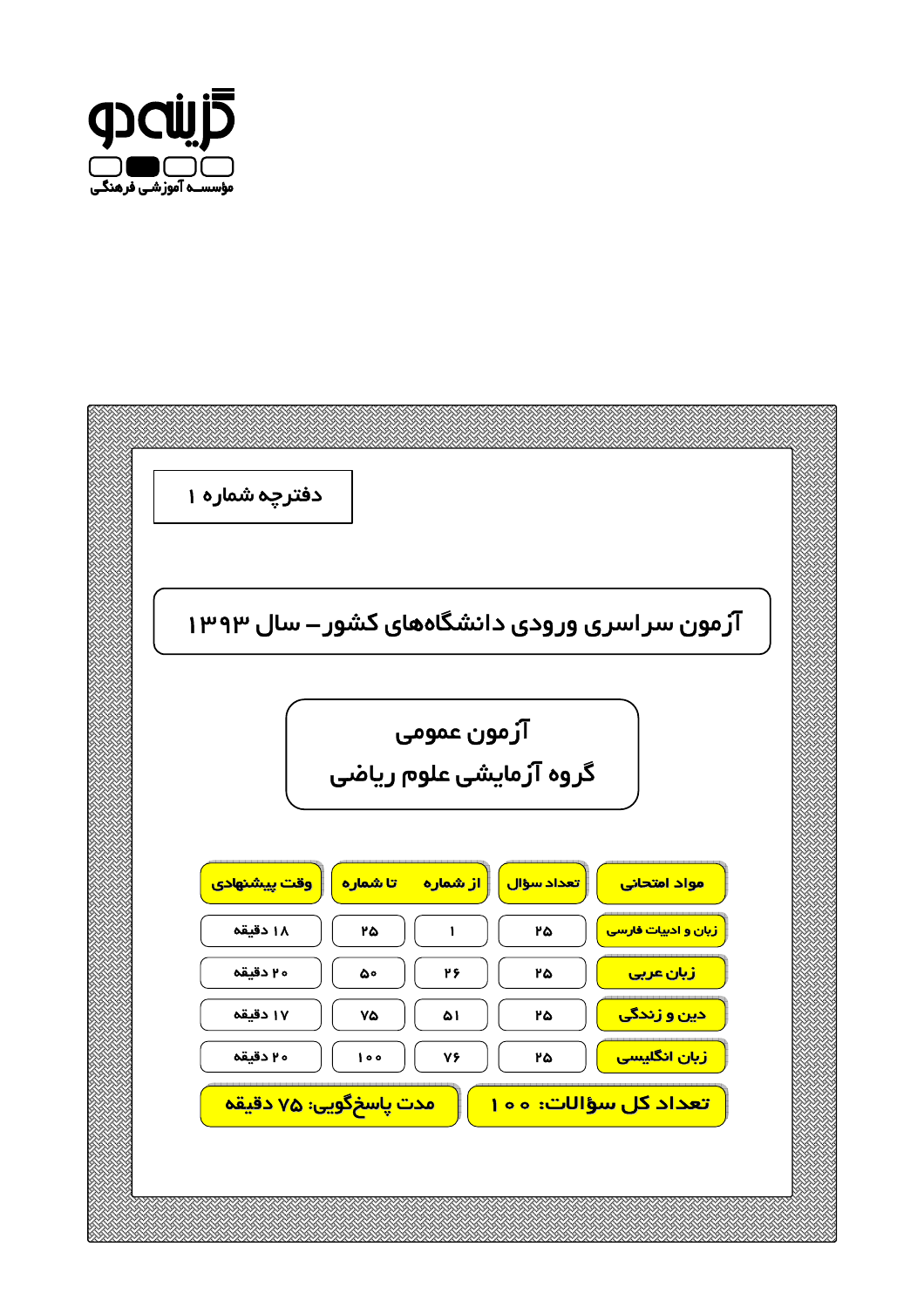

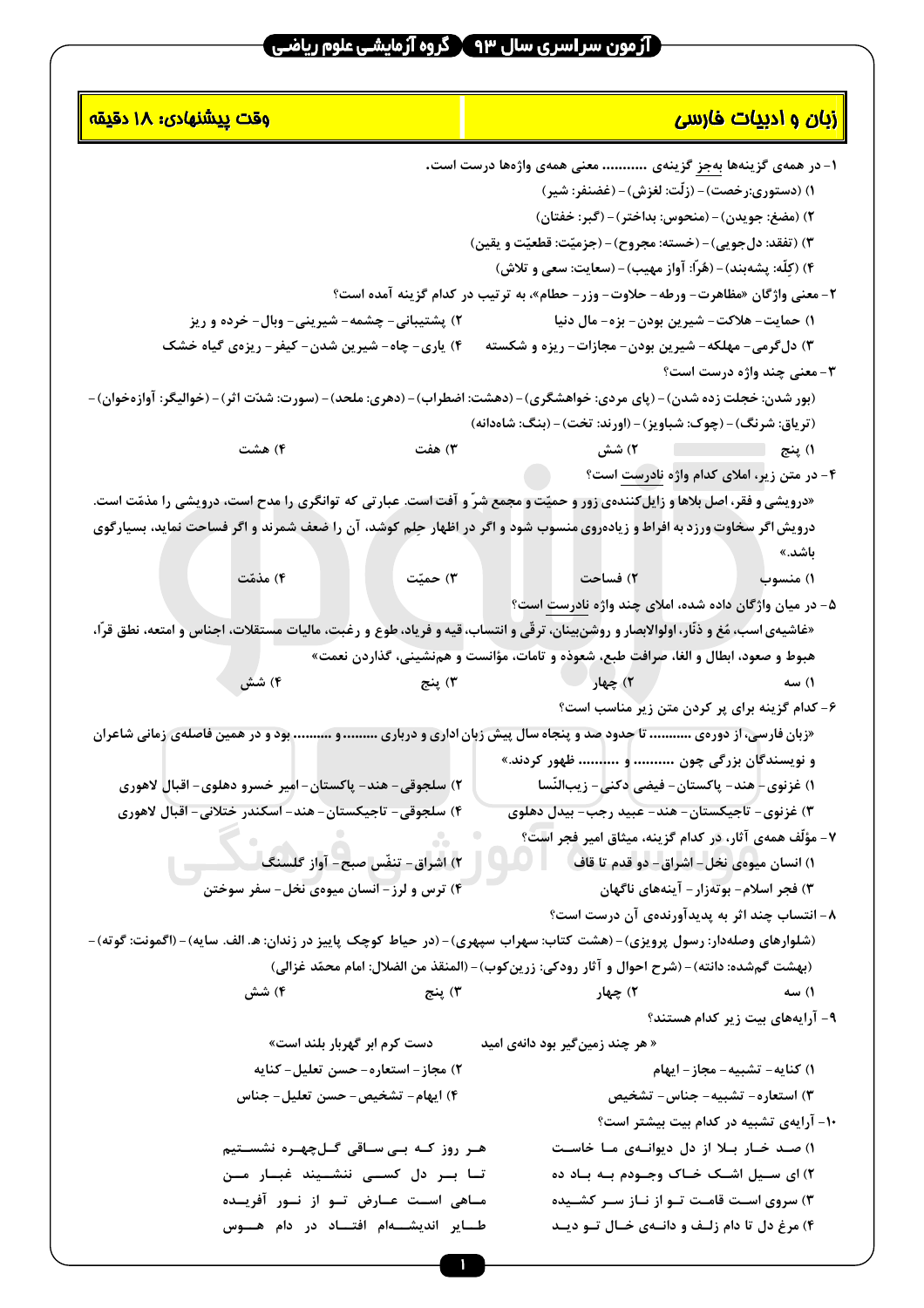| <mark>وقت <u>پد</u>شنهادی: ۱۸ دقیقه</mark>                                                                                            | <mark> زبان و ادیپات فارسی</mark>                                                               |
|---------------------------------------------------------------------------------------------------------------------------------------|-------------------------------------------------------------------------------------------------|
|                                                                                                                                       | ۱- در همهی گزینهها <u>بهجز</u> گزینهی  معنی همهی واژهها درست است.                               |
|                                                                                                                                       | ١) (دستوري:رخصت) – (زِلَّت: لغزش) – (غضنفر: شير)                                                |
|                                                                                                                                       | ٢) (مضغ: جويدن) – (منحوس: بداختر) – (گبر: خفتان)                                                |
|                                                                                                                                       | ٣) (تفقد: دلجويي) – (خسته: مجروح) – (جزميّت: قطعيّت و يقين)                                     |
|                                                                                                                                       | ۴) (كِلّه: پشەبند) – (هُرّا: آواز مهيب) – (سعايت: سعى و تلاش)                                   |
|                                                                                                                                       | ۲- معنی واژگان «مظاهرت- ورطه- حلاوت- وزر - حطام»، به ترتیب در کدام گزینه آمده است؟              |
| ۲) پشتیبانی – چشمه – شیرینی – وبال – خرده و ریز                                                                                       | ١) حمايت- هلاكت- شيرين بودن- بزه- مال دنيا                                                      |
| ۴) یاری- چاه- شیرین شدن- کیفر- ریزهی گیاه خشک                                                                                         | ۳) دلگرمی- مهلکه- شیرین بودن- مجازات- ریزه و شکسته                                              |
|                                                                                                                                       | ۳- معنی چند واژه درست است؟                                                                      |
| (بور شدن: خجلت زده شدن) – (پای مردی: خواهشگری) – (دهشت: اضطراب) – (دهری: ملحد) – (سورت: شدّت اثر) – (خوالیگر: آوازهخوان) –            |                                                                                                 |
|                                                                                                                                       | (ترياق: شرنگ) - (چوک: شباويز) - (اورند: تخت) - (بنگ: شاهدانه)                                   |
| ۴) هشت                                                                                                                                |                                                                                                 |
|                                                                                                                                       | ۴- در متن زیر، املای کدام واژه نادرست است؟                                                      |
| «درویشی و فقر، اصل بلاها و زایل کنندهی زور و حمیّت و مجمع شرّ و آفت است. عبارتی که توانگری را مدح است، درویشی را مذمّت است.           |                                                                                                 |
| درویش اگر سخاوت ورزد به افراط و زیادهروی منسوب شود و اگر در اظهار حِلم کوشد، آن را ضعف شمرند و اگر فساحت نماید، بسیارگوی              |                                                                                                 |
|                                                                                                                                       | باشد.»                                                                                          |
| ۴) مذمّت<br>۳) حمیّت                                                                                                                  |                                                                                                 |
|                                                                                                                                       | ۵- در میان واژگان داده شده، املای چند واژه <u>نادرست</u> است؟                                   |
| «غاشیهی اسب، مَغ و ذنّار، اولوالابصار و روشن بینان، ترقّی و انتساب، قیه و فریاد، طوع و رغبت، مالیات مستقلات، اجناس و امتعه، نطق قرّا، |                                                                                                 |
|                                                                                                                                       | هبوط و صعود، ابطال و الغا، صرافت طبع، شعوذه و تامات، مؤانست و همنشینی، گذاردن نعمت»             |
|                                                                                                                                       |                                                                                                 |
|                                                                                                                                       | ۶- کدام گزینه برای پر کردن متن زیر مناسب است؟                                                   |
| «زبان فارسی، از دورهی  تا حدود صد و پنجاه سال پیش زبان اداری و درباری  و  بود و در همین فاصلهی زمانی شاعران                           |                                                                                                 |
|                                                                                                                                       | و نویسندگان بزرگی چون  و  ظهور کردند.»                                                          |
| ۲) سلجوقي- هند- پاکستان- امير خسرو دهلوي- اقبال لاهوري                                                                                | ١) غزنوي- هند- پاکستان- فيضي دکني- زيبالنّسا                                                    |
| ۴) سلجوقی- تاجیکستان- هند- اسکندر ختلانی- اقبال لاهوری                                                                                | ۳) غزنوی- تاجیکستان- هند- عبید رجب- بیدل دهلوی                                                  |
| a de la                                                                                                                               | ۷- مؤلَّف همهی آثار، در کدام گزینه، میثاق امیر فجر است؟                                         |
| ٢) اشراق- تنفّس صبح- آواز گلسنگ<br>۴) ترس و لرز – انسان میوهی نخل – سفر سوختن                                                         | ١) انسان ميوهي نخل- اشراق- دو قدم تا قاف                                                        |
|                                                                                                                                       | ۳) فجر اسلام- بوتهزار- آينههاي ناگهان                                                           |
|                                                                                                                                       | ۸- انتساب چند اثر به پدیدآورندهی آن درست است؟                                                   |
| (شلوارهای وصلهدار: رسول پرویزی) – (هشت کتاب: سهراب سپهری) – (در حیاط کوچک پاییز در زندان: ه. الف. سایه) – (اگمونت: گوته) –            | (بهشت گمشده: دانته) – (شرح احوال و آثار رودکی: زرین کوب) – (المنقذ من الضلال: امام محمّد غزالی) |
| ۴) شش<br>۳) پنج                                                                                                                       | ۲) چهار<br>۱) سه                                                                                |
|                                                                                                                                       | ۹- آرایههای بیت زیر کدام هستند؟                                                                 |
| دست کرم ابر گهربار بلند است»                                                                                                          | « هر چند زمین <i>گ</i> یر بود دانهی امید                                                        |
| ۲) مجاز – استعاره – حسن تعلیل – کنایه                                                                                                 | ١) كنايه- تشبيه- مجاز- ايهام                                                                    |
| ۴) ایهام- تشخیص- حسن تعلیل- جناس                                                                                                      | ۳) استعاره- تشبیه- جناس- تشخیص                                                                  |
|                                                                                                                                       | ۱۰- آرایهی تشبیه در کدام بیت بیشتر است؟                                                         |
| ھـر روز کــه بــی ســاقی گــلچهــره نشســتیم                                                                                          | ۱) صـد خـار بـلا از دل دیوانـهی مـا خاسـت                                                       |
| تـا بـر دل کســی ننشــیند غبـار مــن                                                                                                  | ۲) ای ســیل اشــک خــاک وجــودم بــه بــاد ده                                                   |
| مـاهی اســت عــارض تــو از نــور آفریــده                                                                                             | ۳) سروی اسـت قامـت تـو از نـاز سـر کشــیده                                                      |
| طــایر اندیشــــهام افتـــاد در دام هـــوس                                                                                            | ۴) مرغ دل تا دام زلــف و دانــهى خــال تــو ديــد                                               |
|                                                                                                                                       |                                                                                                 |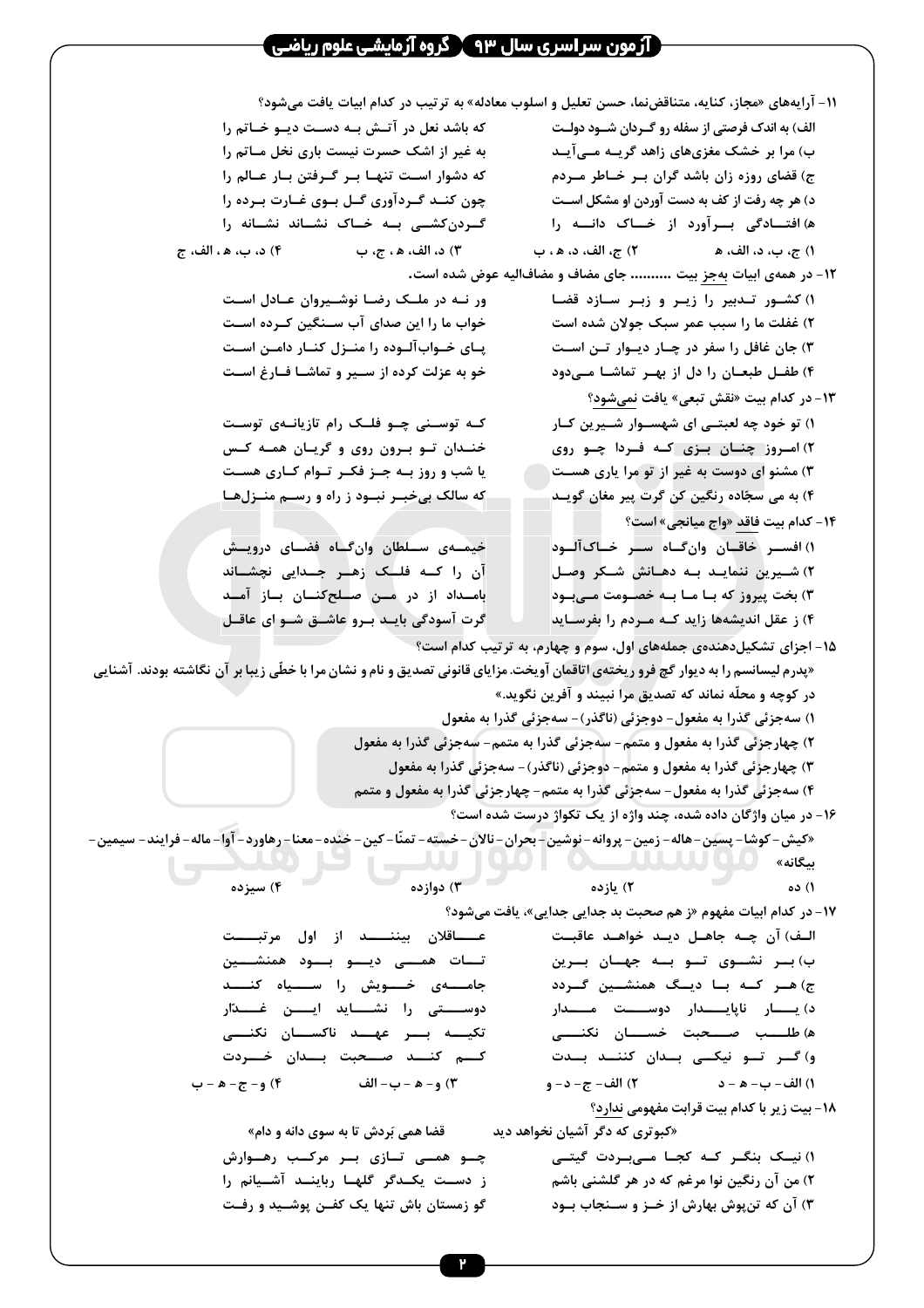|                                                                                                                                     | ١١- آرایههای «مجاز، کنایه، متناقضنما، حسن تعلیل و اسلوب معادله» به ترتیب در کدام ابیات یافت میشود؟ |  |  |
|-------------------------------------------------------------------------------------------------------------------------------------|----------------------------------------------------------------------------------------------------|--|--|
| که باشد نعل در آتـش بـه دسـت ديـو خـاتم را                                                                                          | الف) به اندک فرصتی از سفله رو گـردان شــود دولـت                                                   |  |  |
| به غیر از اشک حسرت نیست باری نخل مـاتم را                                                                                           | ب) مرا بر خشک مغزیهای زاهد گریــه مــیآیــد                                                        |  |  |
| که دشوار اسـت تنهـا بـر گـرفتن بـار عـالم را                                                                                        | ج) قضای روزه زان باشد گران بـر خـاطر مـردم                                                         |  |  |
| چون کنــد گــردآوری گــل بــوی غــارت بــرده را                                                                                     | د) هر چه رفت از کف به دست آوردن او مشکل اســت                                                      |  |  |
| گــردنکشــی بــه خــاک نشــاند نشــانه را                                                                                           | ه) افتــادگی بــرآورد از خــاک دانـــه را                                                          |  |  |
| ٣) د، الف، ھ ، ج، ب $(1 \hspace{-.08in}{.} )$ د، ب، ھ ، الف، ج                                                                      |                                                                                                    |  |  |
|                                                                                                                                     | ۱۲- در همهی ابیات بهجز بیت  جای مضاف و مضافالیه عوض شده است.                                       |  |  |
| ور نـه در ملـک رضـا نوشـیروان عـادل اسـت                                                                                            | ١) كشـور تـدبير را زيـر و زبـر سـازد قضـا                                                          |  |  |
| خواب ما را این صدای آب ســنگین کــرده اســت                                                                                         | ۲) غفلت ما را سبب عمر سبک جولان شده است                                                            |  |  |
| پــای خــوابآلــوده را منــزل کنــار دامــن اســت                                                                                   | ۳) جان غافل را سفر در چـار دیـوار تـن اسـت                                                         |  |  |
| خو به عزلت کرده از ســیر و تماشـا فــارغ اســت                                                                                      | ۴) طفــل طبعــان را دل از بهــر تماشــا مــیدود                                                    |  |  |
|                                                                                                                                     | ۱۳- در کدام بیت «نقش تبعی» یافت نمیشود؟                                                            |  |  |
| کـه توسـنی چـو فلـک رام تازیانـهی توسـت                                                                                             | ۱) تو خود چه لعبتــی ای شهســوار شــیرین کــار                                                     |  |  |
| خنـدان تـو بـرون روی و گریـان همـه کـس                                                                                              | ۲) امــروز چنــان بــزی کــه فــردا چــو روی                                                       |  |  |
| یا شب و روز بــه جــز فکــر تــوام کــاری هســت                                                                                     | ۳) مشنو ای دوست به غیر از تو مرا یاری هســت                                                        |  |  |
| که سالک بیخبـر نبـود ز راه و رســم منــزلهـا                                                                                        | ۴) به می سجّاده رنگین کن گرت پیر مغان گویــد                                                       |  |  |
|                                                                                                                                     | ۱۴- کدام بیت فاقد «واج میانجی» است؟                                                                |  |  |
| خیمــهی ســلطان وانگــاه فضــای درویــش                                                                                             | ١) افســر خاقــان وانگــاه ســر خــاکآلــود                                                        |  |  |
| آن را کــه فلــٰک زهـٰـر جــدايى نچشــاند                                                                                           | ۲) شــیرین ننمایــد بــه دهــانش شــکر وصــل                                                       |  |  |
| بامــداد از در مــن صــلحکنــان بــاز آمــد                                                                                         | ۳) بخت پیروز که بــا مــا بــه خصــومت مــیبــود                                                   |  |  |
| گرت آسودگی بایـد بـرو عاشــق شــو ای عاقــل                                                                                         | ۴) ز عقل اندیشهها زاید کــه مــردم را بفرســاید                                                    |  |  |
| ۱۵- اجزای تشکیلدهندهی جملههای اول، سوم و چهارم، به ترتیب کدام است؟                                                                  |                                                                                                    |  |  |
| «پدرم لیسانسم را به دیوار گچ فرو ریختهی اتاقمان آویخت. مزایای قانونی تصدیق و نام و نشان مرا با خطّی زیبا بر آن نگاشته بودند. آشنایی | در کوچه و محلّه نماند که تصدیق مراً نبیند و آفرین نگوید.»                                          |  |  |
|                                                                                                                                     | ۱) سەجزئى گذرا بە مفعول- دوجزئى (ناگذر)- سەجزئى گذرا بە مفعول                                      |  |  |
|                                                                                                                                     | ٢) چهارجزئي گذرا به مفعول و متمم- سهجزئي گذرا به متمم- سهجزئي گذرا به مفعول                        |  |  |
|                                                                                                                                     | ۳) چهارجزئی گذرا به مفعول و متمم- دوجزئی (ناگذر)- سهجزئی گذرا به مفعول                             |  |  |
|                                                                                                                                     | ۴) سهجزئي گذرا به مفعول- سهجزئي گذرا به متمم- چهارجزئي گذرا به مفعول و متمم                        |  |  |
|                                                                                                                                     | ۱۶- در میان واژگان داده شده، چند واژه از یک تکواژ درست شده است؟                                    |  |  |
| «كيش- كوشا- پسين- هاله- زمين- پروانه- نوشين- بحران- نالان-خسته- تمنّا- كين- خنده-معنا-رهاورد- آوا- ماله- فرايند- سيمين-             |                                                                                                    |  |  |
|                                                                                                                                     | بيگانه»                                                                                            |  |  |
| ۳) دوازده<br>۴) سبزده                                                                                                               | ٢) يازده<br>۱) ده                                                                                  |  |  |
|                                                                                                                                     | ۱۷- در کدام ابیات مفهوم «ز هم صحبت بد جدایی جدایی»، یافت میشود؟                                    |  |  |
| عـــــاقلان بيننــــــد از اول مرتبـــــت                                                                                           | الـف) آن چــه جاهــل ديــد خواهــد عاقبــت                                                         |  |  |
| تــات همـــی دیـــو بـــود همنشـــین                                                                                                | ب) بار نشــوی تــو بــه جهــان بــرین                                                              |  |  |
| جامــــهى خــــويش را ســــياه كنــــد                                                                                              | ج) هـر كـه بـا ديـگ همنشـين گـردد                                                                  |  |  |
| دوســـــتى را نشــــــايد ايــــــن غــــــدّار                                                                                     | د) يـــــار ناپايـــــدار دوســـــت مـــــدار                                                      |  |  |
| تكيــــه بـــر عهـــد ناكســـان نكنــــى                                                                                            | ه) طلـــــب صـــــحبت خســــــان نكنــــــى                                                        |  |  |
| كسم كنسد صسحبت بسدان خسردت                                                                                                          | و) گـــر تـــو نيكــــى بـــدان كننـــد بـــدت                                                     |  |  |
| ٣) و- ﻫ -ب- الف                                   ۴) و- ج- ﻫ -ب                                                                     |                                                                                                    |  |  |
|                                                                                                                                     | ۱۸- بیت زیر با کدام بیت قرابت مفهومی ندارد؟                                                        |  |  |
| قضا همی بَردش تا به سوی دانه و دام»                                                                                                 | «کبوتری که دگر آشیان نخواهد دید                                                                    |  |  |
| چــو همــی تــازی بــر مرکــب رهــوارش<br>ز دســت یکــدگر گلهــا رباینــد آشــیانم را                                               | ۱) نیــک بنگــر کــه کجــا مــی.بــردت گیتـــی                                                     |  |  |
| گو زمستان باش تنها یک کفـن پوشــید و رفـت                                                                                           | ۲) من آن رنگین نوا مرغم که در هر گلشنی باشم<br>۳) آن که تنپوش بهارش از خـز و سـنجاب بـود           |  |  |
|                                                                                                                                     |                                                                                                    |  |  |
|                                                                                                                                     |                                                                                                    |  |  |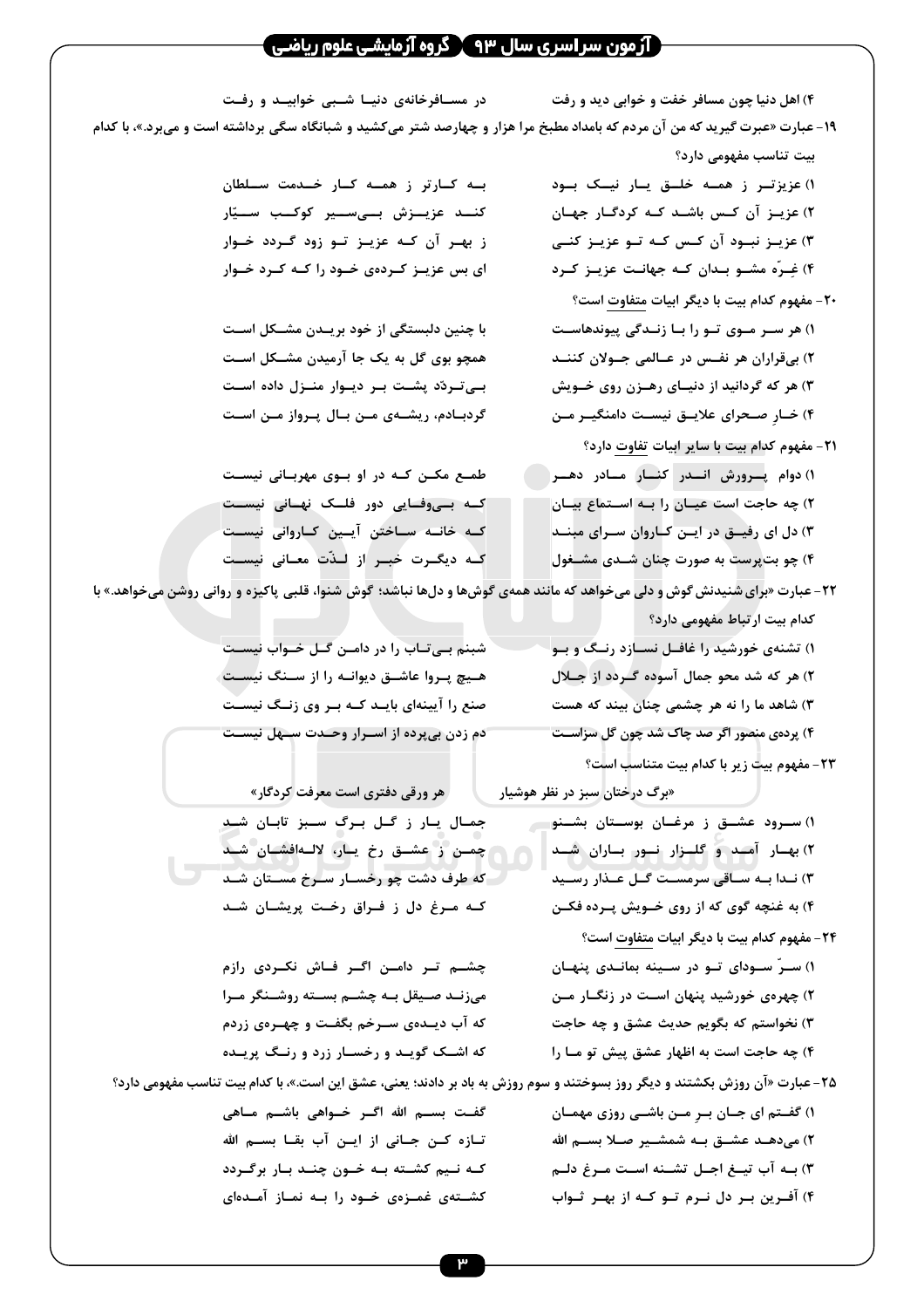#### ( آزمون سر اسری سال ۹۳ ) گروه آزمایشی علوم ریاضی )

**|` .|' 2|( |'R R&`|7 ` . ) &`7 -S 'R a (4**

۱۹- عبارت «عبرت گیرید که من آن مردم که بامداد مطبخ مرا هزار و چهارصد شتر میکشید و شبانگاه سگی برداشته است و میبرد.»، با کدام **بیت تناسب مفهومی دارد؟** 

> **|| U||'R || o||A || % &||6e (1 -|E |
> &C |C .|( u|C -F |e (2 | C |e |6 |C u|C -F |2R |e (3 &|C |e |RE |C -.| |? \$&|B+ (4**

- **Q J) J' &V ' N.C NE) -20 |.R'@ .|R% | |6 | &| & (1 .| C -m| #|e u|)R & -&= (2 \_| -| |'R % .'R& C & (3** ۴) خــارِ صــحرای علایــق نیســت دامنگیــر مــن
- **Q J)6 J' & ' N.C NE) -21 &|| || || C .||R !&||@ N (1 -|' n| | -|'e M S (2 .| 2 &| -|C :| o|'` 4 (3 4"|? .|( -S Jb &@ S (4**

۱) تشنهی خورشید را غافــل نســازد رنــگَ و بــو **4H| % &| F 4 1 .( C & (2 7 C . ' -S ?S & R .( (3** ۴) پردهی منصور اگر صد چاک شد چون گل سزاســت

**۱) سـرود عشــق ز مرغــان بوســتان بشــنو .||( -|| ||R ||A .||F ||E (2 .'| f|e a| |7& =| | .|R (3** ۴) به غنچه گوی که از روی خــویش پــرده فکــن

**ã i|7 H|b &'|?( | o|?e .| (2 i|# }&| | |?6 a| /|'6 WF | (3 W|Y &|E % |C |6 N&|R 4 &| :&|`F (4**

**Q E) g26 ' N.C**

**Q D ' N.C &% ' NE) -23**

**-<A|| .|| ||C || % &6||C ||** کنــد عزیــزش بــیســیر کوکــب ســیّار **| &| % |6 |e |C -F &|E % ای بس عزیـز کـردهی خـود را کـه کـرد خـوار** 

**با چنین دلبستگی از خود بریــدن مشــکل اســت | aT|? -.'F U a Å | 4| | &| |?@ ;&|6| | :| %&|@ 4| :| |? PN|&** 

طمـع مکـن کـه در او بـوی مهربـانی نیسـت کـه بــیوفــایی دور فلــک نهــانی نیســت **||7'R R|C :'|F :| |R |C |7'R R| J\$f|# % &|2 J&|V |C**

۲۲- عبارت «برای شنیدنش گوش و دلی میخواهد که مانند همهی گوشها و دلها نباشد؛ گوش شنوا، قلبی پاکیزه و روانی روشن میخواهد.» با

**|7'R W| a| :| W|6| i 2(** هـيچ پـروا عاشــق ديوانــه را از ســنگ نيســت صنع را آیینهای بایــد کــه بــر وی زنــگ نیســت **|7'R aE| J.|M &| % &@ -% N**

**«برگ درختان سبز در نظر هوشیار میگیری است معرفت کردگار» .|( -|6 2| à&| a| % | 4| .|( -|?`|#m P| â o|?e % :|S .|( -|7 â&| |7 S ( t&L C .|( -|?&@ | [&|` % 4 }&| |C**

**N% &|TR !|` &| :| &|6 i|?S &| &V |( |7 i|?S | a5'|b .|R%** که آب دیــدهی ســرخم بگفــت و چهــرهی زردم که اشــک گویــد و رخســار زرد و رنــگ پریــده

**Q J) J' &V ' N.C NE) -24 -|E @ .|R '| |6 | \$&| (1 :| |VR% | -E @ .'( &ES (2 M S o?e ä.M iV C i]R (3 | 6 \_'@ o?e Eh M S (4** ۲۵- عبارت «آن روزش بکشتند و دیگر روز بسوختند و سوم روزش به باد بر دادند؛ یعنی، عشق این است.»، با کدام بیت تناسب مفهومی دارد؟ **-|E % |( :| Ü&| -| i|) (1**

**| i|( | &| ã i|7 |) ã i|7 |5 WF :| % R| :|C %|6 &|
& | .| S -| | |?C i'|R |C** کشــتهی غمــزهی خــود را بــه نمــاز آمــدهای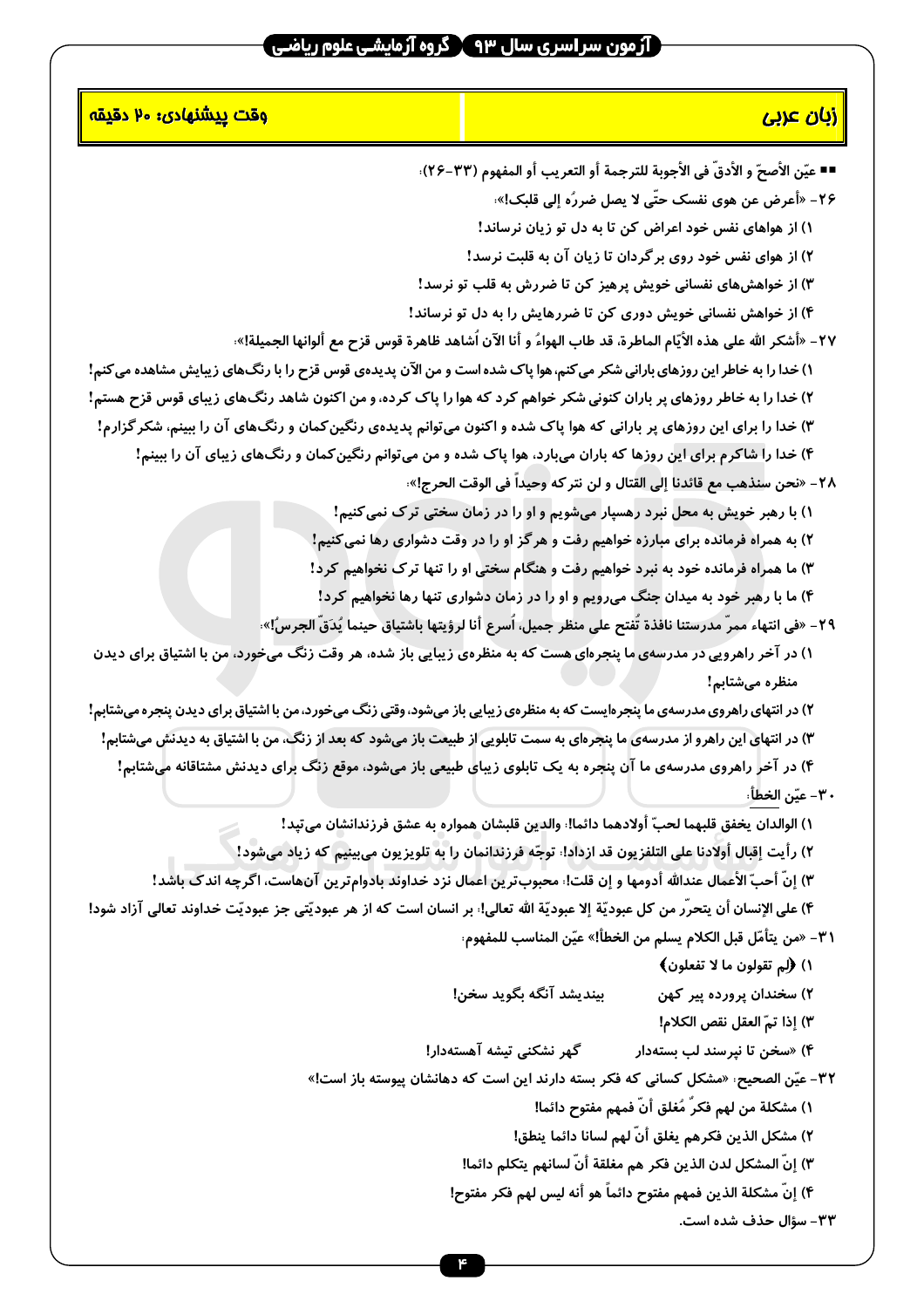# ۔<br>جنور سراسری سال ۹۳ کروہ آزمایشی علوم ریاضی <del>ک</del>

| <mark>وقت پيشنهادي: ۷۰ دقيقه</mark>                                                                                              | <mark>زبان عربی</mark>                                                                                          |
|----------------------------------------------------------------------------------------------------------------------------------|-----------------------------------------------------------------------------------------------------------------|
|                                                                                                                                  | ■■ عيّن الأصحّ و الأدقّ في الأجوبة للترجمة أو التعريب أو المفهوم (٣٣–٢۶):                                       |
|                                                                                                                                  | ۲۶- «أعرض عن هوى نفسک حتّى لا يصل ضررُه إلى قلبک!».                                                             |
|                                                                                                                                  | ۱) از هواهای نفس خود اعراض کن تا به دل تو زیان نرساند!                                                          |
|                                                                                                                                  | ۲) از هوای نفس خود روی برگردان تا زیان آن به قلبت نرسد!                                                         |
|                                                                                                                                  | ۳) از خواهشهای نفسانی خویش پرهیز کن تا ضررش به قلب تو نرسد!                                                     |
|                                                                                                                                  | ۴) از خواهش نفسانی خویش دوری کن تا ضررهایش را به دل تو نرساند!                                                  |
|                                                                                                                                  | ٢٧ – «أشكر الله على هذه الأيّام الماطرة، قد طاب الهواءُ و أنا الآن اَشاهد ظاهرة قوس قزح مع ألوانها الجميلة!»،   |
| ۱) خدا را به خاطر این روزهای بارانی شکر می کنم، هوا پاک شده است و من الآن پدیدهی قوس قزح را با رنگ&ای زیبایش مشاهده می کنم!      |                                                                                                                 |
| ۲) خدا را به خاطر روزهای پر باران کنونی شکر خواهم کرد که هوا را پاک کرده، و من اکنون شاهد رنگ&ای زیبای قوس قزح هستم!             |                                                                                                                 |
| ۳) خدا را برای این روزهای پر بارانی که هوا پاک شده و اکنون میتوانم پدیدهی رنگین کمان و رنگهای آن را ببینم، شکر گزارم!            |                                                                                                                 |
|                                                                                                                                  | ۴) خدا را شاکرم برای این روزها که باران میبارد، هوا پاک شده و من میتوانم رنگین کمان و رنگ&ای زیبای آن را ببینم! |
|                                                                                                                                  | ٢٨- «نحن سنذهب مع قائدنا إلى القتال و لن نتر كه وحيداً في الوقت الحرج!».                                        |
|                                                                                                                                  | ۱) با رهبر خویش به محل نبرد رهسپار میشویم و او را در زمان سختی ترک نمی کنیم!                                    |
|                                                                                                                                  | ۲) به همراه فرمانده برای مبارزه خواهیم رفت و هرگز او را در وقت دشواری رها نمی کنیم!                             |
|                                                                                                                                  | ۳) ما همراه فرمانده خود به نبرد خواهیم رفت و هنگام سختی او را تنها ترک نخواهیم کرد!                             |
|                                                                                                                                  | ۴) ما با رهبر خود به میدان جنگ میرویم و او را در زمان دشواری تنها رها نخواهیم کرد!                              |
|                                                                                                                                  | ٢٩- «في انتهاء ممر مدرستنا نافذة تُفتح على منظر جميل، اَسرع أنا لرؤيتها باشتياق حينما يُدَقَ الجرسُ!».          |
| ۱) در آخر راهرویی در مدرسهی ما پنجرهای هست که به منظرهی زیبایی باز شده، هر وقت زنگ میخورد، من با اشتیاق برای دیدن                |                                                                                                                 |
|                                                                                                                                  | منظره میشتابم!                                                                                                  |
| ۲) در انتهای راهروی مدرسهی ما پنجرهایست که به منظرهی زیبایی باز میشود، وقتی زنگ میخورد، من با اشتیاق برای دیدن پنجره میشتابم!    |                                                                                                                 |
| ۳) در انتهای این راهرو از مدرسهی ما پنجرهای به سمت تابلویی از طبیعت باز میشود که بعد از زنگ، من با اشتیاق به دیدنش میشتابم!      |                                                                                                                 |
|                                                                                                                                  | ۴) در آخر راهروی مدرسهی ما آن پنجره به یک تابلوی زیبای طبیعی باز میشود، موقع زنگ برای دیدنش مشتاقانه میشتابم!   |
|                                                                                                                                  | ٣٠ - عيّن الخطأ،                                                                                                |
|                                                                                                                                  | ١) الوالدان يخفق قلبهما لحبّ أولادهما دائما!، والدين قلبشان همواره به عشق فرزندانشان مىتبد!                     |
|                                                                                                                                  | ٢) رأيت إقبال أولادنا على التلفزيون قد ازداد!، توجّه فرزندانمان را به تلويزيون مىبينيم كه زياد مىشود!           |
|                                                                                                                                  | ٣) إنّ أحبّ الأعمال عندالله أدومها و إن قلت! محبوبترين اعمال نزد خداوند بادوامترين آنهاست، اگرچه اندک باشد!     |
| ۴) على الإنسان أن يتحرّر من كل عبوديّة إلا عبوديّة الله تعالى!: بر انسان است كه از هر عبوديّتى جز عبوديّت خداوند تعالى آزاد شود! |                                                                                                                 |
|                                                                                                                                  | ٣١- «من يتأمّل قبل الكلام يسلم من الخطأ!» عيّن المناسب للمفهوم:                                                 |
|                                                                                                                                  | ۱) (لِم تقولون ما لا تفعلون)                                                                                    |
|                                                                                                                                  | ۲) سخندان پرورده پیر کهن<br>بينديشد آنگه بگويد سخن!                                                             |
|                                                                                                                                  | ٣) إذا تمّ العقل نقص الكلام!                                                                                    |
|                                                                                                                                  | ۴) «سخن تا نپرسند لب بستهدار<br>گهر نشکنی تیشه آهستهدار!                                                        |
|                                                                                                                                  | ٣٢- عيّن الصحيح: «مشكل كساني كه فكر بسته دارند اين است كه دهانشان پيوسته باز است!»                              |
|                                                                                                                                  | ١) مشكلة من لهم فكرّ مُغلق أنّ فمهم مفتوح دائما!                                                                |
|                                                                                                                                  | ٢) مشكل الذين فكرهم يغلق أنّ لهم لسانا دائما ينطق!                                                              |
|                                                                                                                                  | ٣) إنّ المشكل لدن الذين فكر هم مغلقة أنّ لسانهم يتكلم دائما!                                                    |
|                                                                                                                                  | ۴) إنّ مشكلة الذين فمهم مفتوح دائماً هو أنه ليس لهم فكر مفتوح!<br>٣٣- سؤال حذف شده است.                         |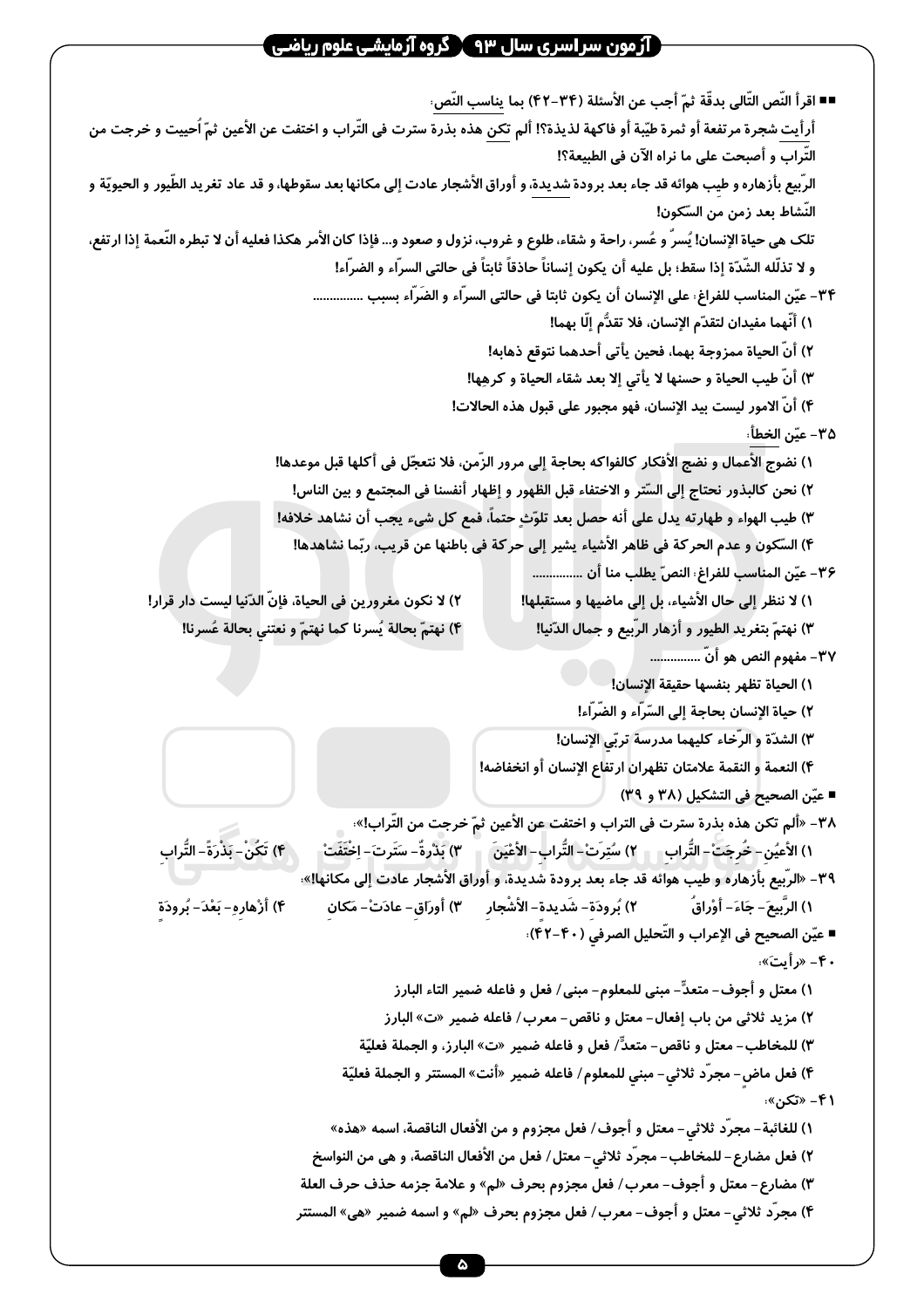### آرمون سر اسری سال ۹۳  $\bm{\Upsilon}$  گروه آرمایشی علوم ریاضی  $\bm{\Gamma}$

■■ اقرأ النَّص التَّالي بدقَّة ثمّ أجب عن الأسئلة (٣۴–۴۲) بما يناسب النَّص: أرأيت شجرة مرتفعة أو ثمرة طيّبة أو فاكهة لذيذة؟! ألم تكن هذه بذرة سترت في التّراب و اختفت عن الأعين ثمّ اُحييت و خرجت من التّراب و أصبحت على ما نراه الآن في الطبيعة؟! الرّبيع بأزهاره و طيب هوائه قد جاء بعد برودة شديدة، و أوراق الأشجار عادت إلى مكانها بعد سقوطها، و قد عاد تغريد الطّيور و الحيويّة و النّشاط بعد زمن من السّكون! تلک هي حياة الإنسان! يُسرَّ و عُسر، راحة و شقاء، طلوع و غروب، نزول و صعود و... فإذا كان الأمر هكذا فعليه أن لا تبطره النّعمة إذا ارتفع، و لا تذلَّله الشَّدَّة إذا سقط؛ بل عليه أن يكون إنساناً حاذقاً ثابتاً في حالتي السرَّاء و الضرَّاء! ٣۴– عيّن المناسب للفراغ، على الإنسان أن يكون ثابتا في حالتي السرّاء و الضَرّاء بسبب ............... ١) أنَّهما مفيدان لتقدّم الإنسان، فلا تقدُّم إلَّا بهما! ٢) أنّ الحياة ممزوجة بهما، فحين يأتي أحدهما نتوقع ذهابه! ٣) أنّ طيب الحياة و حسنها لا يأتى إلا بعد شقاء الحياة و كرهِها! ۴) أنّ الامور ليست بيد الإنسان، فهو مجبور على قبول هذه الحالات! ٣۵– عبّن الخطأ، ١) نضوج الأعمال و نضج الأفكار كالفواكه بحاجة إلى مرور الزَّمن، فلا نتعجَّل في أكلها قبل موعدها! ٢) نحن كالبذور نحتاج إلى السّتر و الاختفاء قبل الظهور و إظهار أنفسنا في المجتمع و بين الناس! ٣) طيب الهواء و طهارته يدل على أنه حصل بعد تلوّث حتماً، فمع كل شيء يجب أن نشاهد خلافه! ۴) السَّكون و عدم الحركة في ظاهر الأشياء يشير إلى حركة في باطنها عن قريب، ربّما نشاهدها! ٣۶– عيّن المناسب للفراغ، النصّ يطلب منا أن ................ ٢) لا نكون مغرورين في الحياة، فإنّ الدّنيا ليست دار قرار! ١) لا ننظر إلى حال الأشياء، بل إلى ماضيها و مستقبلها! ۴) نهتمّ بحالة يُسرنا كما نهتمّ و نعتني بحالة عُسرنا! ٣) نهتمّ بتغريد الطيور و أزهار الرّبيع و جمال الدّنيا! ٣٧– مفهوم النص هو أنّ ................ ١) الحياة تظهر بنفسها حقيقة الإنسان! ٢) حياة الإنسان بحاجة إلى السّرّاء و الضّرّاء! ٣) الشدّة و الرّخاء كليهما مدرسة تربّى الإنسان! ۴) النعمة و النقمة علامتان تظهران ارتفاع الإنسان أو انخفاضه! ■ عيّن الصحيح في التشكيل (٣٨ و ٣٩) ٣٨- «ألم تكن هذه بذرة سترت في التراب و اختفت عن الأعين ثمّ خرجت من التّراب!»· ِّ ۴) تَكُنْ– بَذْرَةً– التُّراب ١) الأعيُن - خُرجَتْ – التَّراب ﴾ ٢) سُتِرَتْ – التَّراب - الأَعْيَنَ ﴾ ٣) بَدْرةٌ – سَتَرتَ – اِخْتَفَتْ ٣٩- «الرّبيع بأزهاره و طيب هوائه قد جاء بعد برودة شديدة، و أوراق الأشجار عادت إلى مكانها!»، ١) الرَّبيعَ – جَاءَ – أوْراقُ ) بُرودَة – شَديدة – الأَشْجارِ ۳) أورَاق- عادَتْ- مَكان ۴) أَزْهارهِ- بَعْدَ- بُرودَة ■ عيّن الصحيح في الإعراب و التّحليل الصرفي (۴۰–۴۲)؛ ۰۴- «رأىتَ». ١) معتل و أجوف- متعدٍّ- مبنى للمعلوم- مبنى/ فعل و فاعله ضمير التاء البارز ٢) مزيد ثلاثي من باب إفعال- معتل و ناقص- معرب/ فاعله ضمير «ت» البارز ٣) للمخاطب- معتل و ناقص- متعدٍّ/ فعل و فاعله ضمير «ت» البارز، و الجملة فعليّة ۴) فعل ماض- مجرّد ثلاثى- مبنى للمعلوم/ فاعله ضمير «أنت» المستتر و الجملة فعليّة ۴۱– «تکن»: ١) للغائبة- مجرَّد ثلاثي- معتل و أجوف/ فعل مجزوم و من الأفعال الناقصة، اسمه «هذه» ٢) فعل مضارع– للمخاطب- مجرَّد ثلاثى- معتل/ فعل من الأفعال الناقصة، و هي من النواسخ ٣) مضارع- معتل و أجوف- معرب/ فعل مجزوم بحرف «لم» و علامة جزمه حذف حرف العلة ۴) مجرَّد ثلاثي- معتل و أجوف- معرب/ فعل مجزوم بحرف «لم» و اسمه ضمير «هي» المستتر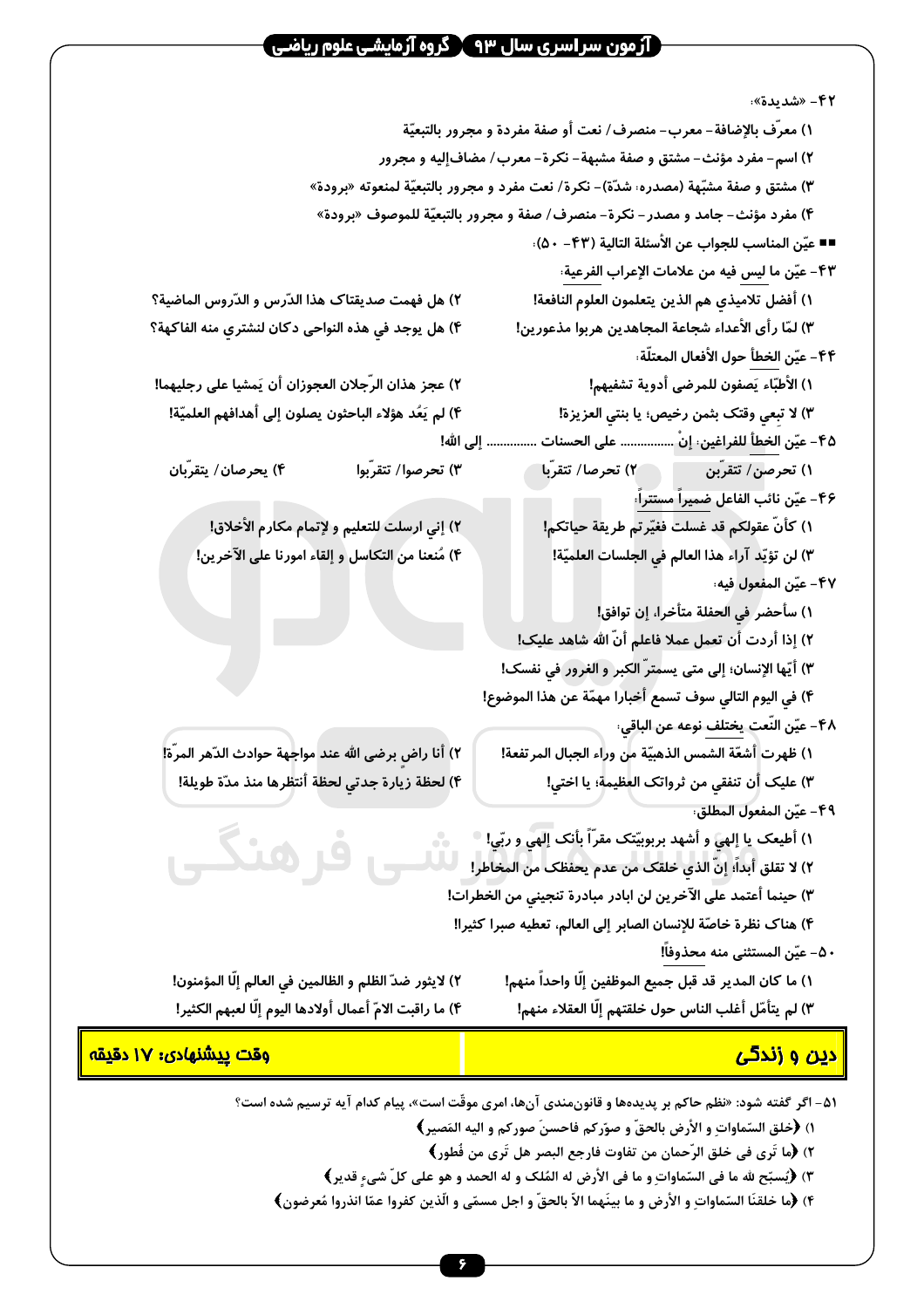### ` آرُ مون سر اسر ی سال ۹۳ ∑ گروه آرَمایشـی علوم ریاضـی

**۴۲- «شدىدة»** ١) معرّف بالإضافة – معرب– منصرف/ نعت أو صفة مفردة و مجرور بالتبعيّة ٢) اسم- مفرد مؤنث- مشتق و صفة مشبهة- نكرة- معرب/ مضافإليه و مجرور ٣) مشتق و صفة مشبّهة (مصدره: شدّة)- نكرة/ نعت مفرد و مجرور بالتبعيّة لمنعوته «برودة» ۴) مفرد مؤنث– جامد و مصدر – نكرة– منصرف/ صفة و مجرور بالتبعيّة للموصوف «برودة» ■■ عيّن المناسب للجواب عن الأسئلة التالية (۴۳– ۵۰): ۴۳ – عيّن ما ليس فيه من علامات الإعراب الفرعية: ١) أفضل تلاميذي هم الذين يتعلمون العلوم النافعة! ٢) هل فهمت صديقتاك هذا الدّرس و الدّروس الماضية؟ ۴) هل يوجد في هذه النواحي دكان لنشتري منه الفاكهة؟ ٣) لمّا رأى الأعداء شجاعة المجاهدين هربوا مذعورين! ۴۴ – عيّن الخطأ حول الأفعال المعتلّة: ١) الأطبّاء يَصفون للمرضى أدوية تشفيهم! ٢) عجز هذان الرّجلان العجوزان أن يَمشيا على رجليهما! ۴) لم يَعُد هؤلاء الباحثون يصلون إلى أهدافهم العلميّة! ٣) لا تبعي وقتک بثمن رخيص؛ يا بنتي العزيزة! ۴۵ - عيّن الخطأ للفراغين: إنْ ................ على الحسنات ............... إلى الله! ١) تحرصن/ تتقرّبن من العلم "٢) تحرصا/ تتقرّبا ۴) بحرصان/ بتقرّبان ۳) تحرصوا/ تتقرّبوا ۴۶– عیّن نائب الفاعل ضمیراً مستتراً، ١) كأنّ عقولكم قد غسلت فغيّرتم طريقة حياتكم! ۲) إني ارسلت للتعليم و لإتمام مكارم الأخلاق! ۴) مُنعنا من التكاسل و إلقاء امورنا على الآخرين! ٣) لن تؤيّد آراء هذا العالم في الجلسات العلميّة! ۴۷– عيّن المفعول فيه، ١) سأحضر في الحفلة متأخرا، إن توافق! ٢) إذا أردت أن تعمل عملا فاعلم أنّ الله شاهد عليک! ٣) أيّها الإنسان؛ إلى متى يسمترّ الكبر و الغرور في نفسك! ۴) في اليوم التالي سوف تسمع أخباراً مهمّة عن هذا الموضوع! ۴۸ – عيّن النّعت يختلف نوعه عن الباقي: ٢) أنا راض برضى الله عند مواجهة حوادث الدّهر المرّة! ١) ظهرت أشعّة الشمس الذهبيّة من وراء الجبال المرتفعة! ٣) عليك أن تنفقي من ثرواتك العظيمة؛ يا اختى! ۴) لحظة زيارة جدتي لحظة أنتظرها منذ مدّة طويلة! ۴۹ – عيّن المفعول المطلق، ۱) أطيعک يا إلهي و أشهد بربوبيّتک مقرّاً بأنک إلهي و ربّي! ٢) لا تقلق أبداً؛ إنّ الذي خلقک من عدم يحفظک من المخاطر!<br>٢) لا تقلق أبداً؛ إنّ الذي خلقک من عدم يحفظک من المخاطر! ٣) حينما أعتمد على الآخرين لن ابادر مبادرة تنجيني من الخطرات! ۴) هناك نظرة خاصّة للإنسان الصابر إلى العالم، تعطيه صبرا كثيرا! ۵۰– عيّن المستثنى منه محذوفاً! ٢) لايثور ضدّ الظلم و الظالمين فى العالم إلّا المؤمنون! ١) ما كان المدير قد قبل جميع الموظفين إلّا واحداً منهم! ۴) ما راقبت الامّ أعمال أولادها اليوم إلّا لعبهم الكثير! ٣) لم يتأمّل أغلب الناس حول خلقتهم إلّا العقلاء منهم! <mark>دین و زندگی</mark> <u>وقت ييشنهادي: ١٧ دقيقه</u>

۵۱– اگر گفته شود: «نظم حاکم بر پدیدهها و قانونِمندی آنها، امری موقّت است»، پیام کدام آیه ترسیم شده است؟

- ١) ﴿خلق السّماوات و الأرض بالحقّ و صوّركم فاحسنَ صوركم و اليه المَصيرِ ﴾
	- ٢) ﴿ما تَرِي في خلق الرّحمانِ من تفاوت فارجعِ البصرِ هل تَرِي من فُطورٍ﴾
- ٣) ﴿يُسبِّح لله ما في السّماواتِ و ما في الأرض له المُلك و له الحمد و هو على كلّ شيءٍ قديرٍ ﴾
- ۴) ﴿ما خلقنَا السّماواتِ و الأرضِ و ما بينَهما الاّ بالحقّ و اجل مسمّى و الّذين كفروا عمّا انذروا مُعرضون﴾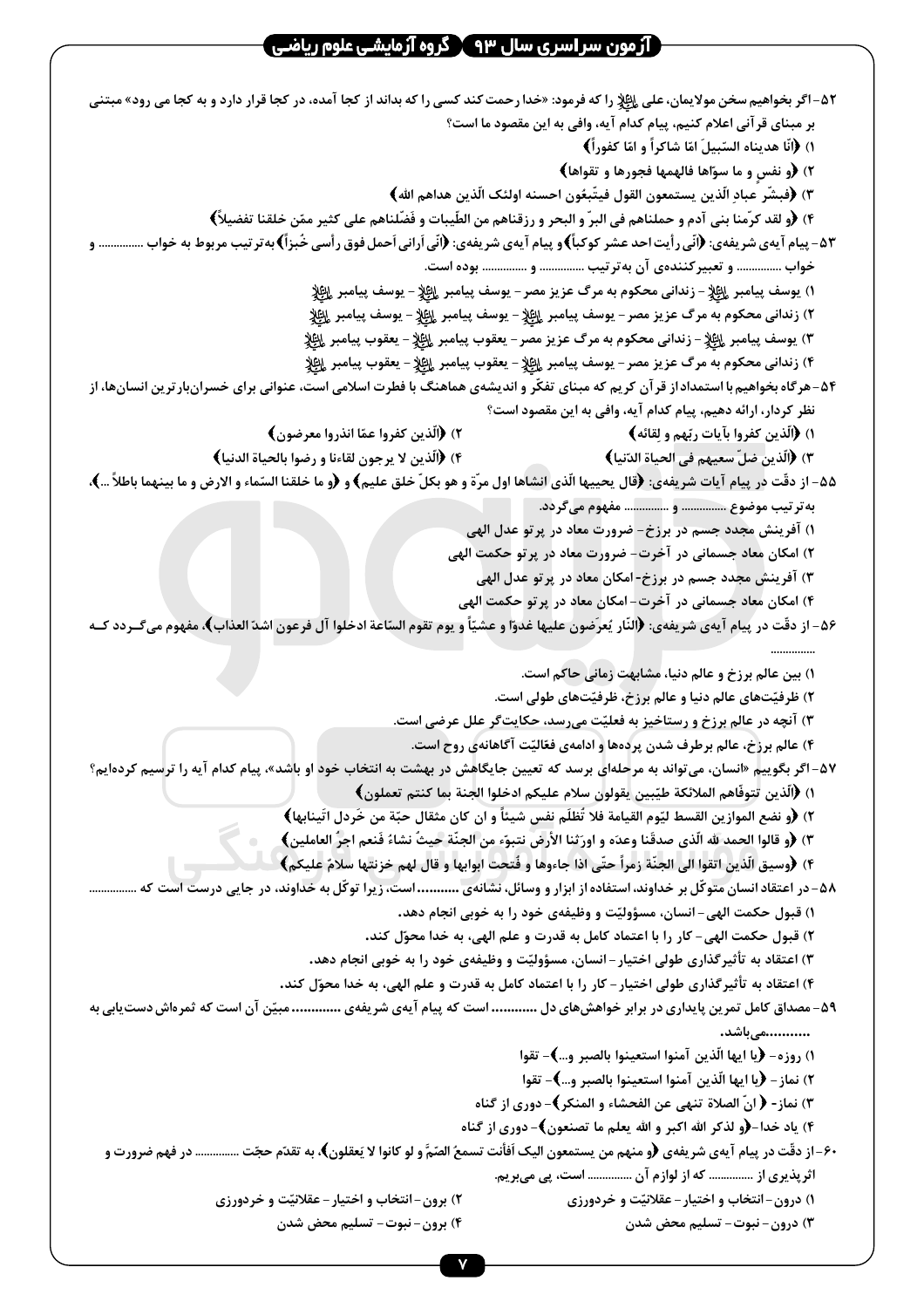| ۵۲-اگر بخواهیم سخن مولایمان، علی <sub>ع</sub> ایلٍا ٍ را که فرمود: «خدا رحمت کند کسی را که بداند از کجا آمده، در کجا قرار دارد و به کجا می رود» مبتنی |                                                                                                                          |
|-------------------------------------------------------------------------------------------------------------------------------------------------------|--------------------------------------------------------------------------------------------------------------------------|
|                                                                                                                                                       | بر مبنای قرآنی اعلام کنیم، پیام کدام آیه، وافی به این مقصود ما است؟                                                      |
|                                                                                                                                                       | ١) ﴿انَّا هديناه السّبيلَ امّا شاكراً و امّا كفوراً﴾                                                                     |
|                                                                                                                                                       | ۲) ﴿و نفسٍ و ما سوّاها فالهمها فجورها و تقواها﴾                                                                          |
|                                                                                                                                                       | ٣) ﴿فبشّر عبادِ الّذين يستمعون القول فيتّبعُون احسنه اولئک الّذين هداهم الله﴾                                            |
|                                                                                                                                                       | ۴) ﴿و لقد كرَّمنا بني آدم و حملناهم في البرِّ و البحر و رزقناهم من الطِّيبات و فَضَّلناهم على كثير ممّن خلقنا تفضيلاً﴾   |
| ۵۳ – پیام آیهی شریفهی: ﴿انّی رأیت احد عشر کوکبأ﴾و پیام آیهی شریفهی: ﴿انّی اَرانی اَحمل فوق رأسی خُبزأ﴾به تر تیب مربوط به خواب  و                      |                                                                                                                          |
|                                                                                                                                                       | خواب  و تعبیر کنندهی آن بهتر تیب  و  بوده است.                                                                           |
|                                                                                                                                                       | ١) يوسف پيامبر لِلظِّلِّإِ – زندانى محكوم به مرگ عزيز مصر – يوسف پيامبر لِلظِّلِإِ – يوسف پيامبر لِلظِّلِإِ              |
|                                                                                                                                                       | ٢) زندانی محکوم به مرگ عزیز مصر – یوسف پیامبر لِلطِّلاٍ – یوسف پیامبر لِلطِّلاٍ – یوسف پیامبر لِلطِّلاٍ                  |
|                                                                                                                                                       | ٣) يوسف پيامبر لِإظلار – زندانى محكوم به مرگ عزيز مصر – يعقوب پيامبر لِإظِلاٍ – يعقوب پيامبر لِإظِلاٍ                    |
|                                                                                                                                                       | ۴) زندانی محکوم به مرگ عزیز مصر – یوسف پیامبر لِلطِّلٍّ – یعقوب پیامبر لِلطِّلٍّا – یعقوب پیامبر لِلطِّلٍّ               |
| ۵۴-هرگاه بخواهیم با استمداد از قر آن کریم که مبنای تفکّر و اندیشهی هماهنگ با فطرت اسلامی است، عنوانی برای خسرانبار ترین انسانها، از                   |                                                                                                                          |
|                                                                                                                                                       | نظر کردار، ارائه دهیم، پیام کدام آیه، وافی به این مقصود است؟                                                             |
| ٢) ﴿الَّذِينِ كفروا عمَّا انذروا معرضون﴾                                                                                                              | ۱) ﴿اَلَّذِينِ كَفَرُوا بِآياتٍ رِبِّهِمْ وَ لِقَائِهِ ﴾                                                                 |
| ۴) ﴿اَلَّذِينِ لا يرجونِ لقاءنا و رضوا بالحياة الدنيا﴾                                                                                                | ٣) ﴿اَلَّذِينَ ضلَّ سعيهم في الحياة الدّنيا﴾                                                                             |
| ۵۵− از دقّت در پیام آیات شریفهی: ﴿قال یحییها الّذی انشاها اول مرّة و هو بکلّ خلق علیم﴾ و ﴿و ما خلقنا السّماء و الارض و ما بینهما باطلاً …﴾،           |                                                                                                                          |
|                                                                                                                                                       | به تر تیب موضوع  و  مفهوم می گردد.                                                                                       |
|                                                                                                                                                       | ۱) آفرینش مجدد جسم در برزخ- ضرورت معاد در پر تو عدل الهی                                                                 |
|                                                                                                                                                       | ۲) امکان معاد جسمانی در آخرت- ضرورت معاد در پرتو حکمت الهی                                                               |
|                                                                                                                                                       | ۳) آفرینش مجدد جسم در برزخ-امکان معاد در پر تو عدل الهی                                                                  |
|                                                                                                                                                       | ۴) امکان معاد جسمانی در آخرت- امکان معاد در پرتو حکمت الهی                                                               |
| ۵۶- از دقّت در پیام آیهی شریفهی: ﴿النّار یُعرَضون علیها غدوّا و عشیّاً و یوم تقوم السّاعة ادخلوا آل فرعون اشدّ العذاب﴾، مفهوم میگـردد کـه             |                                                                                                                          |
|                                                                                                                                                       |                                                                                                                          |
|                                                                                                                                                       | ١) بين عالم برزخ و عالم دنيا، مشابهت زماني حاكم است.                                                                     |
|                                                                                                                                                       | ۲) ظرفیّتهای عالم دنیا و عالم برزخ، ظرفیّتهای طولی است.                                                                  |
|                                                                                                                                                       | ۳) آنچه در عالم برزخ و رستاخیز به فعلیّت میرسد، حکایتگر علل عرضی است.                                                    |
|                                                                                                                                                       | ۴) عالم برزخ، عالم برطرف شدن پردهها و ادامهی فعّالیّت آگاهانهی روح است.                                                  |
| ۵۷- اگر بگوییم «انسان، میتواند به مرحلهای برسد که تعیین جایگاهش در بهشت به انتخاب خود او باشد»، پیام کدام آیه را ترسیم کردهایم؟                       |                                                                                                                          |
|                                                                                                                                                       | ١) ﴿اَلَّذِينِ تِتوفَّاهِمِ الملائكة طيّبينِ يقولونِ سلام عليكمِ ادخلوا الجنةِ بما كنتمِ تعملونِ﴾                        |
|                                                                                                                                                       | ٢) ﴿و نضع الموازين القسط ليّوم القيامة فلا تُظلَم نفس شيئاً و ان كان مثقال حبّة من خَردل اتّينابها﴾                      |
|                                                                                                                                                       | ٣) ﴿و قالوا الحمد لله الّذي صدقَنا وعدَه و اورَثنا الأرض نتبوّء من الجنّة حيثُ نشاءً فَنعم اجرُّ العاملين﴾               |
|                                                                                                                                                       | ۴) ﴿وسيق الَّذين اتقوا الى الجنَّة زمراً حتَّى اذا جاءوها و فُتحت ابوابها و قال لهم خزنتها سلامٌ عليكم﴾                  |
|                                                                                                                                                       | ۵۸- در اعتقاد انسان متوکّل بر خداوند، استفاده از ابزار و وسائل، نشانّهی  است، زیراً توکّل به خداوند، در جایی درست است که |
|                                                                                                                                                       | ۱) قبول حکمت الهی- انسان، مسؤولیّت و وظیفهی خود را به خوبی انجام دهد.                                                    |
|                                                                                                                                                       | ۲) قبول حکمت الهی- کار را با اعتماد کامل به قدرت و علم الهی، به خدا محوّل کند.                                           |
|                                                                                                                                                       | ۳) اعتقاد به تأثیرگذاری طولی اختیار – انسان، مسؤولیّت و وظیفهی خود را به خوبی انجام دهد.                                 |
|                                                                                                                                                       | ۴) اعتقاد به تأثیرگذاری طولی اختیار – کار را با اعتماد کامل به قدرت و علم الهی، به خدا محوّل کند.                        |
| ۵۹- مصداق کامل تمرین پایداری در برابر خواهشهای دل  است که پیام آیهی شریفهی  مبیّن آن است که ثمرماش دستیابی به                                         | میباشد.                                                                                                                  |
|                                                                                                                                                       | ١) روزه- ﴿يا ايها الّذين آمنوا استعينوا بالصبر و…﴾- تقوا                                                                 |
|                                                                                                                                                       | ٢) نماز – ﴿يا ايها الّذين آمنوا استعينوا بالصبر و…﴾ – تقوا                                                               |
|                                                                                                                                                       | ٣) نماز- ﴿ انّ الصلاة تنهي عن الفحشاء و المنكر﴾– دوري از گناه                                                            |
|                                                                                                                                                       | ۴) یاد خدا-﴿و لذکر الله اکبر و الله یعلم ما تصنعون﴾- دوری از گناه                                                        |
| ۶۰–از دقّت در پیام آیهی شریفهی ﴿و منهم من یستمعون الیک اَفأنت تسمعُ الصّمَّ و لو کانوا لا یَعقلون﴾، به تقدّم حجّت …………… در فهم ضرورت و                |                                                                                                                          |
|                                                                                                                                                       | اثرپذیری از  که از لوازم آن  است، پی میبریم.                                                                             |
| ۲) برون-انتخاب و اختیار - عقلانیّت و خردورزی                                                                                                          | ۱) درون-انتخاب و اختیار-عقلانیّت و خردورزی                                                                               |
| ۴) برون–نبوت– تسلیم محض شدن                                                                                                                           | ۳) درون- نبوت- تسليم محض شدن                                                                                             |
|                                                                                                                                                       |                                                                                                                          |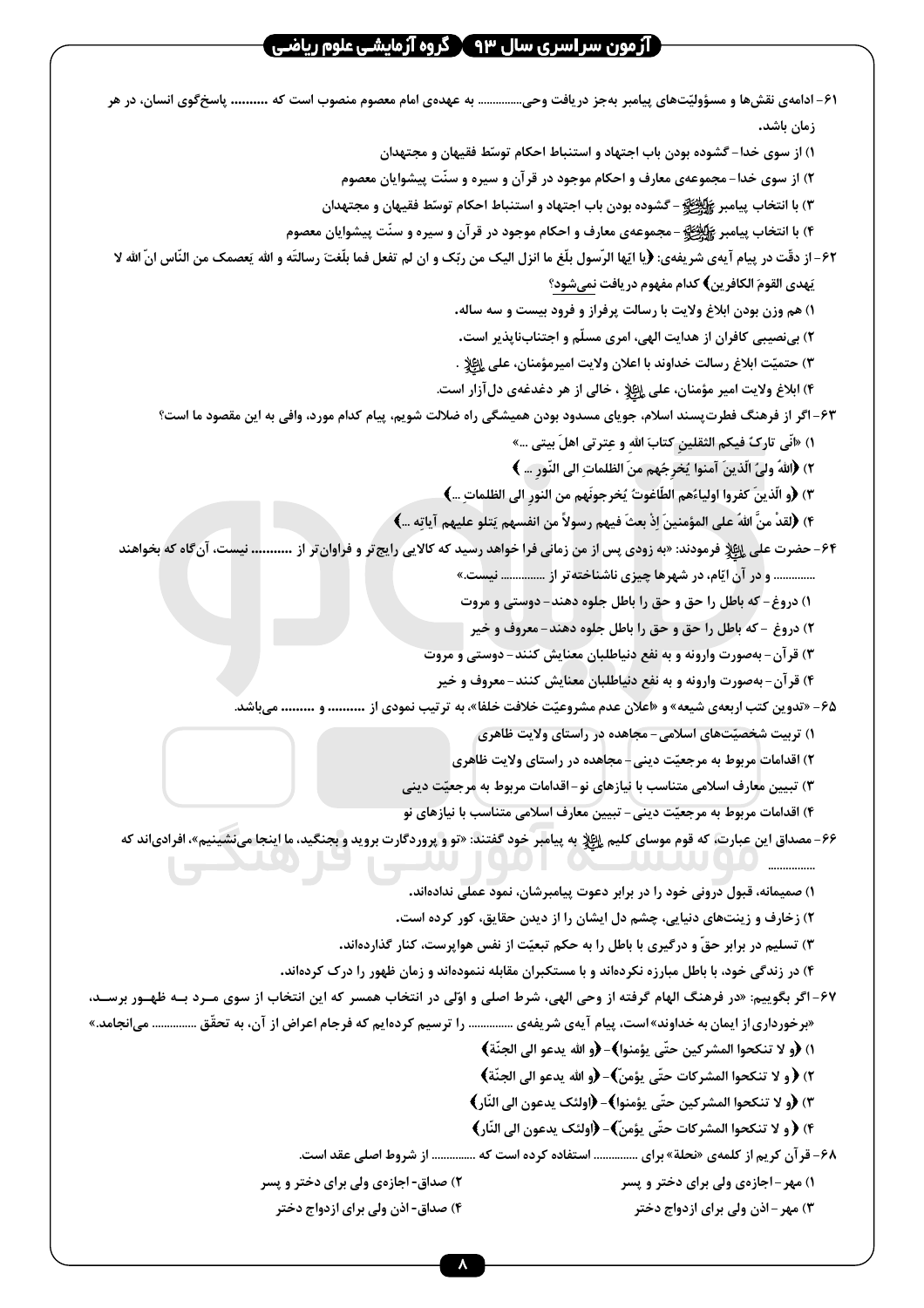| ۶۱– ادامهی نقشها و مسؤولیّتهای پیامبر بهجز دریافت وحی…………… به عهدهی امام معصوم منصوب است که ………. پاسخ ًکوی انسان، در هر                         |
|-------------------------------------------------------------------------------------------------------------------------------------------------|
| زمان باشد.                                                                                                                                      |
| ۱) از سوی خدا–گشوده بودن باب اجتهاد و استنباط احکام توسّط فقیهان و مجتهدان                                                                      |
| ۲) از سوی خدا-مجموعهی معارف و احکام موجود در قرآن و سیره و سنّت پیشوایان معصوم                                                                  |
| ٣) با انتخاب پیامبر ﷺ - گشوده بودن باب اجتهاد و استنباط احکام توسّط فقیهان و مجتهدان                                                            |
| ۴) با انتخاب پیامبر کیلینه از مجموعهی معارف و احکام موجود در قرآن و سیره و سنّت پیشوایان معصوم                                                  |
| ۶۲- از دقّت در پیام آیهی شریفهی: ﴿یا ایّها الرّسول بلّغ ما انزل الیک من ربّک و ان لم تفعل فما بلّغت رسالتَه و الله يَعصمک من النّاس انّ الله لا |
| ِيَهدى القومَ الكافرِينِ﴾ كدام مفهوم دريافت <u>نمي</u> شود؟                                                                                     |
| ۱) هم وزن بودن ابلاغ ولايت با رسالت پرفراز و فرود بيست و سه ساله.                                                                               |
| ۲) بینصیبی کافران از هدایت الهی، امری مسلّم و اجتنابناپذیر است.                                                                                 |
| ٣) حتميّت ابلاغ رسالت خداوند با اعلان ولايت اميرمؤمنان، على إلِﷺ .                                                                              |
| ۴) ابلاغ ولایت امیر مؤمنان، علی الظِّلِّ ، خالی از هر دغدغهی دل آزار است.                                                                       |
| ۶۳–اگر از فرهنگ فطرتپسند اسلام، جویای مسدود بودن همیشگی راه ضلالت شویم، پیام کدام مورد، وافی به این مقصود ما است؟                               |
| ١) «أنِّي تاركٌ فيكم الثقلينِ كتابَ اللهِ و عِترتي اهلَ بيتي …»                                                                                 |
| ٢) ﴿اللهُ ولىُ الَّذينَ آمنوا يُخرِجُهم منَ الظلماتِ الى النَّورِ … ﴾                                                                           |
| ٣) ﴿و الَّذينَ كفروا اولياءُهم الطَّاغوتُ يُخرجونَهم من النورِ الى الظلماتِ ﴾                                                                   |
| ۴) ﴿لَقدْ منَّ اللهُ على المؤمنينَ إذْ بعثَ فيهم رسولاً من انفسهم يَتلو عليهم آياتِه …﴾                                                         |
| ۶۴- حضرت علی ا <u>ائلا</u> فرمودند: «به زودی پس از من زمانی فرا خواهد رسید که کالایی رایج تر و فراوان تر از  نیست، آنگاه که بخواهند             |
| و در آن ایّام، در شهرها چیزی ناشناخته در از  نیست.»                                                                                             |
| ١) دروغ- که باطل را حق و حق را باطل جلوه دهند- دوستی و مروت                                                                                     |
| ٢) دروغ -که باطل را حق و حق را باطل جلوه دهند-معروف و خير                                                                                       |
| ۳) قرآن- بهصورت وارونه و به نفع دنیاطلبان معنایش کنند- دوستی و مروت                                                                             |
| ۴) قرآن- بهصورت وارونه و به نفع دنیاطلبان معنایش کنند-معروف و خیر                                                                               |
| ۶۵- «تدوین کتب اربعهی شیعه» و «اعلان عدم مشروعیّت خلافت خلفا»، به ترتیب نمودی از  و  میباشد.                                                    |
| ۱) تربیت شخصیّتهای اسلامی- مجاهده در راستای ولایت ظاهری                                                                                         |
| ۲) اقدامات مربوط به مرجعیّت دینی- مجاهده در راستای ولایت ظاهری                                                                                  |
| ۳) تبیین معارف اسلامی متناسب با نیازهای نو-اقدامات مربوط به مرجعیّت دینی                                                                        |
| ۴) اقدامات مربوط به مرجعیّت دینی- تبیین معارف اسلامی متناسب با نیازهای نو                                                                       |
| <b>۶۶- مصداق این عبارت، که قوم موسای کلیم ایلاد به پیامبر خود گفتند: «تو و پروردگارت بروید و بجنگید، ما اینجا مینشینیم»، افرادیاند که</b>       |
| ۱) صمیمانه، قبول درونی خود را در برابر دعوت پیامبرشان، نمود عملی ندادهاند.                                                                      |
| ۲) زخارف و زینتهای دنیایی، چشم دل ایشان را از دیدن حقایق، کور کرده است.                                                                         |
| ۳) تسلیم در برابر حقّ و درگیری با باطل را به حکم تبعیّت از نفس هواپرست، کنار گذاردهاند.                                                         |
| ۴) در زندگی خود، با باطل مبارزه نکردهاند و با مستکبران مقابله ننمودهاند و زمان ظهور را درک کردهاند.                                             |
| ۶۷- اگر بگوییم: «در فرهنگ الهام گرفته از وحی الهی، شرط اصلی و اوّلی در انتخاب همسر که این انتخاب از سوی مـرد بــه ظهــور برســد،                |
| «برخورداری از ایمان به خداوند» است، پیام آیهی شریفهی  را ترسیم کردهایم که فرجام اعراض از آن، به تحقّق  میانجامد.»                               |
| ١) ﴿و لا تنكحوا المشركين حتَّى يؤمنوا﴾– ﴿و الله يدعو الى الجنَّة﴾                                                                               |
| ٢) ﴿ و لا تنكحوا المشركات حتَّى يؤمنِّ﴾- ﴿و الله يدعو الى الجنَّة﴾                                                                              |
| ٣) ﴿و لا تنكحوا المشركين حتَّى يؤمنوا﴾- ﴿اولئک يدعون الى النَّارِ ﴾                                                                             |
| ۴) ﴿ و لا تنكحوا المشركات حتَّى يؤمنِّ)- ﴿اولئك يدعون الى النَّارِ﴾                                                                             |
| ۶۸- قرآن کریم از کلمهی «نحلة» برای  استفاده کرده است که  از شروط اصلی عقد است.                                                                  |
| ۲) صداق- اجازهی ولی برای دختر و پسر<br>۱) مهر - اجازهی ولی برای دختر و پسر                                                                      |
| ۴) صداق- اذن ولي براي ازدواج دختر<br>۳) مهر – اذن ولی برای ازدواج دختر                                                                          |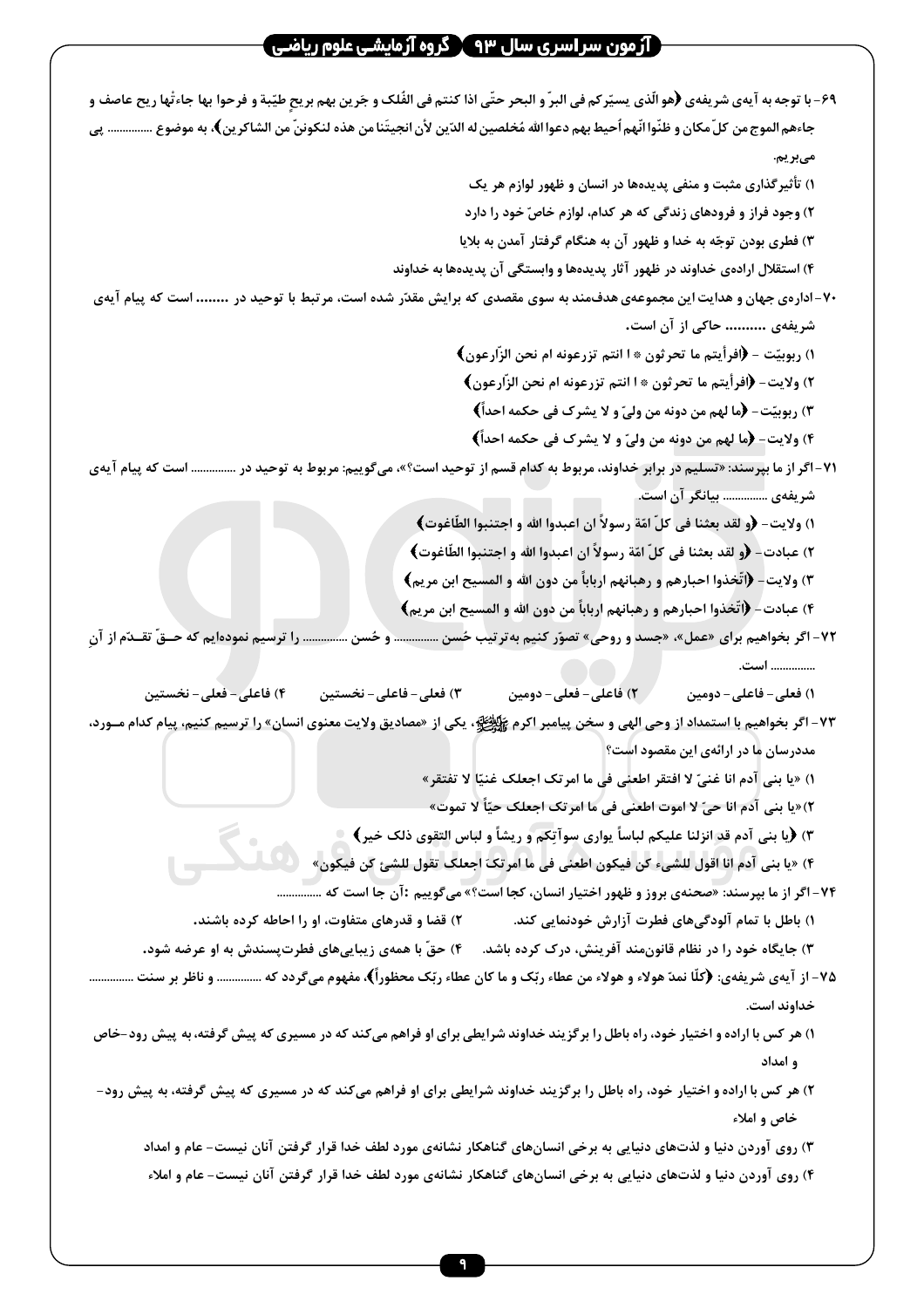| ۶۹- با توجه به آيهي شريفهي ﴿هو الَّذي يسيِّركم في البرِّ و البحر حتَّى اذا كنتم في الفُلک و جَرين بهم بريحٍ طيّبة و فرحوا بها جاءتْها ريح عاصف و |
|--------------------------------------------------------------------------------------------------------------------------------------------------|
| جاءهم الموج من كلّ مكان و ظنّوا انّهم اُحيط بهم دعوا الله مُخلصين له الدّين لأن انجيتَنا من هذه لنكوننّ من الشاكرين﴾، به موضوع …………… پي          |
| مىبريم.                                                                                                                                          |
| ۱) تأثیرگذاری مثبت و منفی پدیدهها در انسان و ظهور لوازم هر یک                                                                                    |
| ۲) وجود فراز و فرودهای زندگی که هر کدام، لوازم خاصّ خود را دارد                                                                                  |
| ۳) فطری بودن توجّه به خدا و ظهور آن به هنگام گرفتار آمدن به بلایا                                                                                |
| ۴) استقلال ارادهی خداوند در ظهور آثار پدیدهها و وابستگی آن پدیدهها به خداوند                                                                     |
| ۷۰–ادارهی جهان و هدایت این مجموعهی هدفمند به سوی مقصدی که برایش مقدّر شده است، مرتبط با توحید در  است که پیام آیهی                               |
| شریفهی  حاکی از آن است.                                                                                                                          |
| ١) ربوبيّت − ﴿افرأيتم ما تحرثون ۞ ا انتم تزرعونه ام نحن الزّارعون﴾                                                                               |
| ٢) ولايت- ﴿افرأيتم ما تحرثون ۞ ا انتم تزرعونه ام نحن الزّارعون﴾                                                                                  |
| ٣) ربوبيّت- ﴿ما لهم من دونه من وليّ و لا يشرك في حكمه احداً﴾                                                                                     |
| ۴) ولايت- ﴿ما لهم من دونه من وليّ و لا يشرك في حكمه احداً﴾                                                                                       |
| ۷۱-اگر از ما بپرسند: «تسلیم در برابر خداوند، مربوط به کدام قسم از توحید است؟»، میگوییم: مربوط به توحید در …………… است که پیام آیهی                 |
| شریفهی  بیانگر آن است.                                                                                                                           |
| ١) ولايت- ﴿و لقد بعثنا في كلِّ امّةٍ رسولاً ان اعبدوا الله و اجتنبوا الطّاغوت﴾                                                                   |
| ٢) عبادت- ﴿و لقد بعثنا في كلِّ امّة رسولاً ان اعبدوا الله و اجتنبوا الطّاغوت﴾                                                                    |
| ٣) ولايت- ﴿اتَّخذوا احبارهم و رهبانهم ارباباً من دون الله و المسيح ابن مريم﴾                                                                     |
| ۴) عبادت- ﴿اتَّخذُوا احبارهم و رهبانهم ارباباً من دون الله و المسيح ابن مريم﴾                                                                    |
| ۷۲- اگر بخواهیم برای «عمل»، «جسد و روحی» تصوّر کنیم به ترتیب حُسن  و حُسن  را ترسیم نمودهایم که حــقّ تقــدّم از آنِ                             |
| است.                                                                                                                                             |
| ١) فعلى- فاعلى- دومين سيم / ٢) فاعلى- فعلى- دومين<br>۴) فاعلی – فعلی – نخستین<br>۳) فعلی – فاعلی – نخستین                                        |
| ۷۳- اگر بخواهیم با استمداد از وحی الهی و سخن پیامبر اکرم <del>ﷺ </del> یکی از «مصادیق ولایت معنوی انسان» را ترسیم کنیم، پیام کدام مــورد،        |
| مددرسان ما در ارائهی این مقصود است؟                                                                                                              |
| ١) «يا بني آدم انا غنيّ لا افتقر اطعني في ما امرتك اجعلك غنيّا لا تفتقر»                                                                         |
| ٢)«يا بني آدم انا حيّ لا اموت اطعني في ما امرتک اجعلک حيّاً لا تموت»                                                                             |
| ٣) ﴿يا بني آدم قد انزلنا عليكم لباساً يواري سوآتِكم و ريشاً و لباس التقوى ذلك خير﴾                                                               |
| ۴) «يا بني آدم انا اقول للشيء كن فيكون اطعني في ما امرتكَ اجعلك تقول للشئ كن فيكون»                                                              |
| ۷۴- اگر از ما بپرسند: «صحنهی بروز و ظهور اختیار انسان، کجا است؟» میگوییم :آن جا است که                                                           |
| ۲) قضا و قدرهای متفاوت، او را احاطه کرده باشند.<br>۱) باطل با تمام آلودگیهای فطرت آزارش خودنمایی کند.                                            |
| ۳) جایگاه خود را در نظام قانونمند آفرینش، درک کرده باشد. گ۴) حقّ با همهی زیباییهای فطرتپسندش به او عرضه شود.                                     |
| ۷۵- از آیهی شریفهی: ﴿کلَّا نمدّ هولاء و هولاء من عطاء ربّک و ما کان عطاء ربّک محظوراً﴾، مفهوم میگردد که  و ناظر بر سنت                           |
| خداوند است.                                                                                                                                      |
| ۱) هر کس با اراده و اختیار خود، راه باطل را برگزیند خداوند شرایطی برای او فراهم میکند که در مسیری که پیش گرفته، به پیش رود-خاص                   |
| و امداد                                                                                                                                          |
| ۲) هر کس با اراده و اختیار خود، راه باطل را برگزیند خداوند شرایطی برای او فراهم میکند که در مسیری که پیش گرفته، به پیش رود-                      |
|                                                                                                                                                  |
| خاص و املاء                                                                                                                                      |
| ۳) روی آوردن دنیا و لذتهای دنیایی به برخی انسانهای گناهکار نشانهی مورد لطف خدا قرار گرفتن آنان نیست- عام و امداد                                 |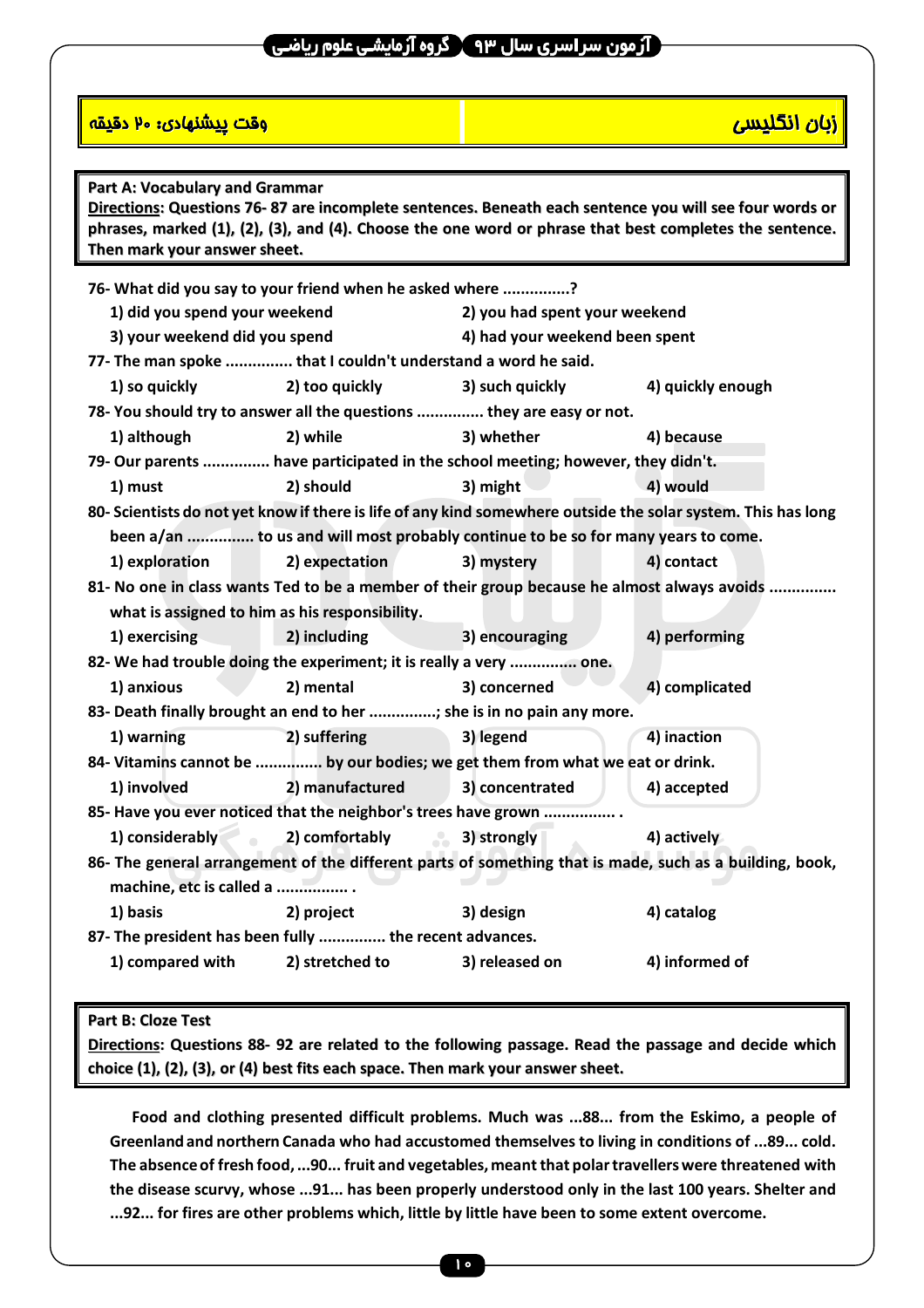### **1 آزمون سر اسری سال ۹۳**  $\mathbf{Y}$  **گروه آزمایشی علوم ریاضی**

#### المستقدم المستقدم المستقدم المستقدم المستقدم المستقدم المستقدم المستقدم المستقدم المستقدم المستقدم المستقدم ال<br>وقت يبدأ التكليديين المستقدم المستقدم المستقدم المستقدم المستقدم المستقدم المستقدم المستقدم المستقدم المستقدم

| Part A: Vocabulary and Grammar<br>Directions: Questions 76-87 are incomplete sentences. Beneath each sentence you will see four words or<br>phrases, marked (1), (2), (3), and (4). Choose the one word or phrase that best completes the sentence.<br>Then mark your answer sheet. |                                                                    |                                                                                   |                                                                                                               |
|-------------------------------------------------------------------------------------------------------------------------------------------------------------------------------------------------------------------------------------------------------------------------------------|--------------------------------------------------------------------|-----------------------------------------------------------------------------------|---------------------------------------------------------------------------------------------------------------|
|                                                                                                                                                                                                                                                                                     | 76- What did you say to your friend when he asked where ?          |                                                                                   |                                                                                                               |
| 1) did you spend your weekend<br>2) you had spent your weekend                                                                                                                                                                                                                      |                                                                    |                                                                                   |                                                                                                               |
|                                                                                                                                                                                                                                                                                     | 3) your weekend did you spend<br>4) had your weekend been spent    |                                                                                   |                                                                                                               |
|                                                                                                                                                                                                                                                                                     | 77- The man spoke  that I couldn't understand a word he said.      |                                                                                   |                                                                                                               |
| 1) so quickly                                                                                                                                                                                                                                                                       | 2) too quickly                                                     | 3) such quickly                                                                   | 4) quickly enough                                                                                             |
|                                                                                                                                                                                                                                                                                     |                                                                    | 78- You should try to answer all the questions  they are easy or not.             |                                                                                                               |
| 1) although                                                                                                                                                                                                                                                                         | 2) while                                                           | 3) whether                                                                        | 4) because                                                                                                    |
|                                                                                                                                                                                                                                                                                     |                                                                    | 79- Our parents  have participated in the school meeting; however, they didn't.   |                                                                                                               |
| 1) must                                                                                                                                                                                                                                                                             | 2) should                                                          | 3) might                                                                          | 4) would                                                                                                      |
|                                                                                                                                                                                                                                                                                     |                                                                    |                                                                                   | 80- Scientists do not yet know if there is life of any kind somewhere outside the solar system. This has long |
|                                                                                                                                                                                                                                                                                     |                                                                    | been a/an  to us and will most probably continue to be so for many years to come. |                                                                                                               |
| 1) exploration                                                                                                                                                                                                                                                                      | 2) expectation                                                     | 3) mystery                                                                        | 4) contact                                                                                                    |
|                                                                                                                                                                                                                                                                                     |                                                                    |                                                                                   | 81- No one in class wants Ted to be a member of their group because he almost always avoids                   |
|                                                                                                                                                                                                                                                                                     | what is assigned to him as his responsibility.                     |                                                                                   |                                                                                                               |
| 1) exercising                                                                                                                                                                                                                                                                       | 2) including                                                       | 3) encouraging                                                                    | 4) performing                                                                                                 |
|                                                                                                                                                                                                                                                                                     | 82- We had trouble doing the experiment; it is really a very  one. |                                                                                   |                                                                                                               |
| 1) anxious                                                                                                                                                                                                                                                                          | 2) mental                                                          | 3) concerned                                                                      | 4) complicated                                                                                                |
|                                                                                                                                                                                                                                                                                     |                                                                    | 83- Death finally brought an end to her ; she is in no pain any more.             |                                                                                                               |
| 1) warning                                                                                                                                                                                                                                                                          | 2) suffering                                                       | 3) legend                                                                         | 4) inaction                                                                                                   |
|                                                                                                                                                                                                                                                                                     |                                                                    | 84- Vitamins cannot be  by our bodies; we get them from what we eat or drink.     |                                                                                                               |
| 1) involved                                                                                                                                                                                                                                                                         | 2) manufactured                                                    | 3) concentrated                                                                   | 4) accepted                                                                                                   |
|                                                                                                                                                                                                                                                                                     |                                                                    | 85- Have you ever noticed that the neighbor's trees have grown                    |                                                                                                               |
| 1) considerably<br>$\bullet$                                                                                                                                                                                                                                                        | 2) comfortably                                                     | $\mathcal{L}_{\mathcal{C}}$<br>3) strongly                                        | 4) actively                                                                                                   |
| 86- The general arrangement of the different parts of something that is made, such as a building, book,                                                                                                                                                                             |                                                                    |                                                                                   |                                                                                                               |
| machine, etc is called a                                                                                                                                                                                                                                                            |                                                                    |                                                                                   |                                                                                                               |
| 1) basis                                                                                                                                                                                                                                                                            | 2) project                                                         | 3) design                                                                         | 4) catalog                                                                                                    |
| 87- The president has been fully  the recent advances.                                                                                                                                                                                                                              |                                                                    |                                                                                   |                                                                                                               |
| 1) compared with                                                                                                                                                                                                                                                                    | 2) stretched to                                                    | 3) released on                                                                    | 4) informed of                                                                                                |
|                                                                                                                                                                                                                                                                                     |                                                                    |                                                                                   |                                                                                                               |

#### **Part B: Cloze Test**

**Directions: Questions 88- 92 are related to the following passage. Read the passage and decide which choice (1), (2), (3), or (4) best fits each space. Then mark your answer sheet.**

**Food and clothing presented difficult problems. Much was ...88... from the Eskimo, a people of Greenland and northern Canada who had accustomed themselves to living in conditions of ...89... cold. The absence of fresh food, ...90... fruit and vegetables, meant that polar travellers were threatened with the disease scurvy, whose ...91... has been properly understood only in the last 100 years. Shelter and ...92... for fires are other problems which, little by little have been to some extent overcome.**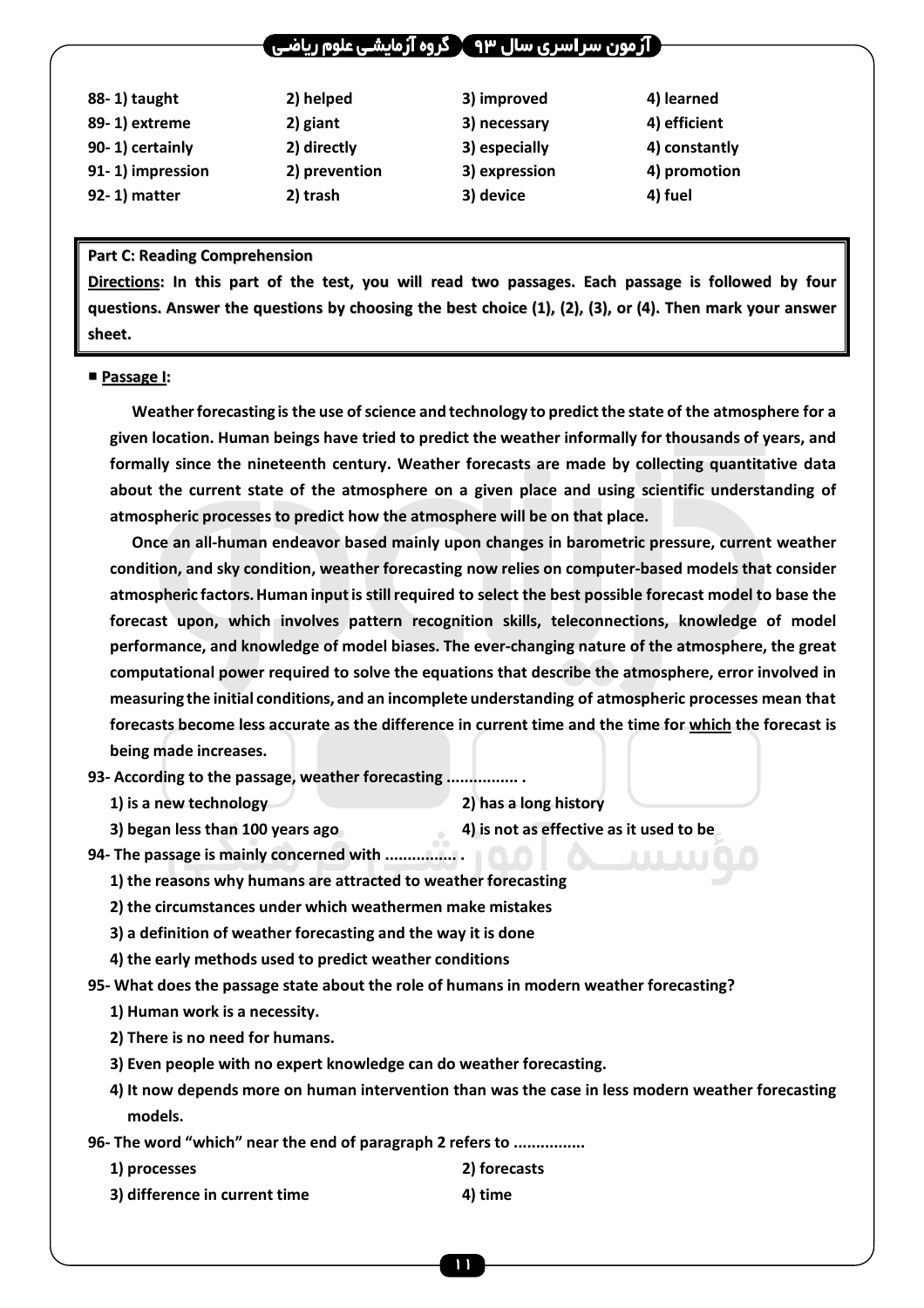### ۔ آرمون سر اسری سال ۹۳  $\Upsilon$  گروه آرمایشـی علوم ریاضا

| 88-1) taught     | 2) helped     | 3) improved   | 4) learned    |
|------------------|---------------|---------------|---------------|
| 89-1) extreme    | 2) giant      | 3) necessary  | 4) efficient  |
| 90-1) certainly  | 2) directly   | 3) especially | 4) constantly |
| 91-1) impression | 2) prevention | 3) expression | 4) promotion  |
| 92-1) matter     | 2) trash      | 3) device     | 4) fuel       |

#### **Part C: Reading Comprehension**

**Directions: In this part of the test, you will read two passages. Each passage is followed by four** questions. Answer the questions by choosing the best choice  $(1)$ ,  $(2)$ ,  $(3)$ , or  $(4)$ . Then mark your answer **sheet.**

#### **Passage I:**

**Weather forecasting is the use of science and technology to predict the state of the atmosphere for a given location. Human beings have tried to predict the weather informally for thousands of years, and formally since the nineteenth century. Weather forecasts are made by collecting quantitative data about the current state of the atmosphere on a given place and using scientific understanding of atmospheric processes to predict how the atmosphere will be on that place.** 

**Once an all-human endeavor based mainly upon changes in barometric pressure, current weather condition, and sky condition, weather forecasting now relies on computer-based models that consider atmospheric factors. Human input is still required to select the best possible forecast model to base the forecast upon, which involves pattern recognition skills, teleconnections, knowledge of model performance, and knowledge of model biases. The ever-changing nature of the atmosphere, the great computational power required to solve the equations that describe the atmosphere, error involved in measuring the initial conditions, and an incomplete understanding of atmospheric processes mean that forecasts become less accurate as the difference in current time and the time for which the forecast is being made increases.** 

**93- According to the passage, weather forecasting ................ .** 

 **1) is a new technology 2) has a long history** 

- **3) began less than 100 years ago 4) is not as effective as it used to be**
- **94- The passage is mainly concerned with ................ .**

 **1) the reasons why humans are attracted to weather forecasting** 

- **2) the circumstances under which weathermen make mistakes**
- **3) a definition of weather forecasting and the way it is done**
- **4) the early methods used to predict weather conditions**
- **95- What does the passage state about the role of humans in modern weather forecasting?** 
	- **1) Human work is a necessity.**
	- **2) There is no need for humans.**
	- **3) Even people with no expert knowledge can do weather forecasting.**
	- **4) It now depends more on human intervention than was the case in less modern weather forecasting models.**
- **96- The word "which" near the end of paragraph 2 refers to ................** 
	- **1) processes 2) forecasts 3) difference in current time 4) time**